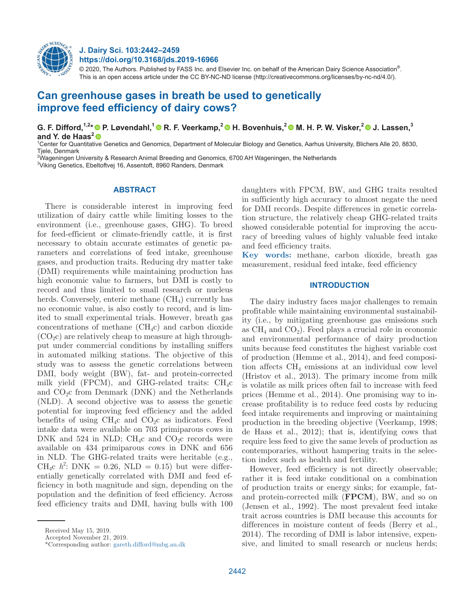

# **J. Dairy Sci. 103:2442–2459 https://doi.org/10.3168/jds.2019-16966**

© 2020, The Authors. Published by FASS Inc. and Elsevier Inc. on behalf of the American Dairy Science Association®. This is an open access article under the CC BY-NC-ND license (http://creativecommons.org/licenses/by-nc-nd/4.0/).

# **Can greenhouse gases in breath be used to genetically improve feed efficiency of dairy cows?**

**G. F. Difford,1,2\* P. Løvendahl,1 R. F. Veerkamp,2 H. Bovenhuis,2 M. H. P. W. Visker,2 J. Lassen,3**  and Y. de Haas<sup>2</sup><sup>®</sup>

<sup>1</sup>Center for Quantitative Genetics and Genomics, Department of Molecular Biology and Genetics, Aarhus University, Blichers Alle 20, 8830, Tiele, Denmark

2 Wageningen University & Research Animal Breeding and Genomics, 6700 AH Wageningen, the Netherlands

3 Viking Genetics, Ebeltoftvej 16, Assentoft, 8960 Randers, Denmark

# **ABSTRACT**

There is considerable interest in improving feed utilization of dairy cattle while limiting losses to the environment (i.e., greenhouse gases, GHG). To breed for feed-efficient or climate-friendly cattle, it is first necessary to obtain accurate estimates of genetic parameters and correlations of feed intake, greenhouse gases, and production traits. Reducing dry matter take (DMI) requirements while maintaining production has high economic value to farmers, but DMI is costly to record and thus limited to small research or nucleus herds. Conversely, enteric methane  $(CH<sub>4</sub>)$  currently has no economic value, is also costly to record, and is limited to small experimental trials. However, breath gas concentrations of methane  $(CH_4c)$  and carbon dioxide  $(CO<sub>2</sub>c)$  are relatively cheap to measure at high throughput under commercial conditions by installing sniffers in automated milking stations. The objective of this study was to assess the genetic correlations between DMI, body weight (BW), fat- and protein-corrected milk yield (FPCM), and GHG-related traits:  $CH_4c$ and  $CO<sub>2</sub>c$  from Denmark (DNK) and the Netherlands (NLD). A second objective was to assess the genetic potential for improving feed efficiency and the added benefits of using  $CH_4c$  and  $CO_2c$  as indicators. Feed intake data were available on 703 primiparous cows in DNK and 524 in NLD; CH<sub>4</sub>c and CO<sub>2</sub>c records were available on 434 primiparous cows in DNK and 656 in NLD. The GHG-related traits were heritable (e.g., CH<sub>4</sub>c  $h^2$ : DNK = 0.26, NLD = 0.15) but were differentially genetically correlated with DMI and feed efficiency in both magnitude and sign, depending on the population and the definition of feed efficiency. Across feed efficiency traits and DMI, having bulls with 100 daughters with FPCM, BW, and GHG traits resulted in sufficiently high accuracy to almost negate the need for DMI records. Despite differences in genetic correlation structure, the relatively cheap GHG-related traits showed considerable potential for improving the accuracy of breeding values of highly valuable feed intake and feed efficiency traits.

**Key words:** methane, carbon dioxide, breath gas measurement, residual feed intake, feed efficiency

# **INTRODUCTION**

The dairy industry faces major challenges to remain profitable while maintaining environmental sustainability (i.e., by mitigating greenhouse gas emissions such as  $CH_4$  and  $CO_2$ ). Feed plays a crucial role in economic and environmental performance of dairy production units because feed constitutes the highest variable cost of production (Hemme et al., 2014), and feed composition affects  $CH_4$  emissions at an individual cow level (Hristov et al., 2013). The primary income from milk is volatile as milk prices often fail to increase with feed prices (Hemme et al., 2014). One promising way to increase profitability is to reduce feed costs by reducing feed intake requirements and improving or maintaining production in the breeding objective (Veerkamp, 1998; de Haas et al., 2012); that is, identifying cows that require less feed to give the same levels of production as contemporaries, without hampering traits in the selection index such as health and fertility.

However, feed efficiency is not directly observable; rather it is feed intake conditional on a combination of production traits or energy sinks; for example, fatand protein-corrected milk (**FPCM**), BW, and so on (Jensen et al., 1992). The most prevalent feed intake trait across countries is DMI because this accounts for differences in moisture content of feeds (Berry et al., 2014). The recording of DMI is labor intensive, expensive, and limited to small research or nucleus herds;

Received May 15, 2019.

Accepted November 21, 2019.

<sup>\*</sup>Corresponding author: [gareth.difford@mbg.au.dk](mailto:gareth.difford@mbg.au.dk)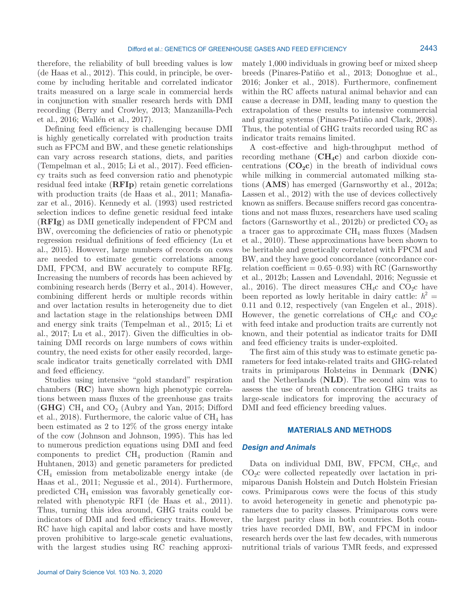therefore, the reliability of bull breeding values is low (de Haas et al., 2012). This could, in principle, be overcome by including heritable and correlated indicator traits measured on a large scale in commercial herds in conjunction with smaller research herds with DMI recording (Berry and Crowley, 2013; Manzanilla-Pech et al., 2016; Wallén et al., 2017).

Defining feed efficiency is challenging because DMI is highly genetically correlated with production traits such as FPCM and BW, and these genetic relationships can vary across research stations, diets, and parities (Tempelman et al., 2015; Li et al., 2017). Feed efficiency traits such as feed conversion ratio and phenotypic residual feed intake (**RFIp**) retain genetic correlations with production traits (de Haas et al., 2011; Manafiazar et al., 2016). Kennedy et al. (1993) used restricted selection indices to define genetic residual feed intake (**RFIg**) as DMI genetically independent of FPCM and BW, overcoming the deficiencies of ratio or phenotypic regression residual definitions of feed efficiency (Lu et al., 2015). However, large numbers of records on cows are needed to estimate genetic correlations among DMI, FPCM, and BW accurately to compute RFIg. Increasing the numbers of records has been achieved by combining research herds (Berry et al., 2014). However, combining different herds or multiple records within and over lactation results in heterogeneity due to diet and lactation stage in the relationships between DMI and energy sink traits (Tempelman et al., 2015; Li et al., 2017; Lu et al., 2017). Given the difficulties in obtaining DMI records on large numbers of cows within country, the need exists for other easily recorded, largescale indicator traits genetically correlated with DMI and feed efficiency.

Studies using intensive "gold standard" respiration chambers (**RC**) have shown high phenotypic correlations between mass fluxes of the greenhouse gas traits (GHG) CH<sub>4</sub> and CO<sub>2</sub> (Aubry and Yan, 2015; Difford et al., 2018). Furthermore, the caloric value of  $\text{CH}_4$  has been estimated as 2 to 12% of the gross energy intake of the cow (Johnson and Johnson, 1995). This has led to numerous prediction equations using DMI and feed components to predict  $\text{CH}_4$  production (Ramin and Huhtanen, 2013) and genetic parameters for predicted CH4 emission from metabolizable energy intake (de Haas et al., 2011; Negussie et al., 2014). Furthermore, predicted CH4 emission was favorably genetically correlated with phenotypic RFI (de Haas et al., 2011). Thus, turning this idea around, GHG traits could be indicators of DMI and feed efficiency traits. However, RC have high capital and labor costs and have mostly proven prohibitive to large-scale genetic evaluations, with the largest studies using RC reaching approximately 1,000 individuals in growing beef or mixed sheep breeds (Pinares-Patiño et al., 2013; Donoghue et al., 2016; Jonker et al., 2018). Furthermore, confinement within the RC affects natural animal behavior and can cause a decrease in DMI, leading many to question the extrapolation of these results to intensive commercial and grazing systems (Pinares-Patiño and Clark, 2008). Thus, the potential of GHG traits recorded using RC as indicator traits remains limited.

A cost-effective and high-throughput method of recording methane (**CH4c**) and carbon dioxide concentrations  $(CO_2c)$  in the breath of individual cows while milking in commercial automated milking stations (**AMS**) has emerged (Garnsworthy et al., 2012a; Lassen et al., 2012) with the use of devices collectively known as sniffers. Because sniffers record gas concentrations and not mass fluxes, researchers have used scaling factors (Garnsworthy et al., 2012b) or predicted  $CO<sub>2</sub>$  as a tracer gas to approximate  $CH<sub>4</sub>$  mass fluxes (Madsen et al., 2010). These approximations have been shown to be heritable and genetically correlated with FPCM and BW, and they have good concordance (concordance correlation coefficient  $= 0.65{\text -}0.93$ ) with RC (Garnsworthy et al., 2012b; Lassen and Løvendahl, 2016; Negussie et al., 2016). The direct measures CH<sub>4</sub>c and CO<sub>2</sub>c have been reported as lowly heritable in dairy cattle:  $h^2 =$ 0.11 and 0.12, respectively (van Engelen et al., 2018). However, the genetic correlations of  $CH_4c$  and  $CO_2c$ with feed intake and production traits are currently not known, and their potential as indicator traits for DMI and feed efficiency traits is under-exploited.

The first aim of this study was to estimate genetic parameters for feed intake-related traits and GHG-related traits in primiparous Holsteins in Denmark (**DNK**) and the Netherlands (**NLD**). The second aim was to assess the use of breath concentration GHG traits as large-scale indicators for improving the accuracy of DMI and feed efficiency breeding values.

# **MATERIALS AND METHODS**

### *Design and Animals*

Data on individual DMI, BW, FPCM, CH<sub>4</sub>c, and  $CO<sub>2</sub>c$  were collected repeatedly over lactation in primiparous Danish Holstein and Dutch Holstein Friesian cows. Primiparous cows were the focus of this study to avoid heterogeneity in genetic and phenotypic parameters due to parity classes. Primiparous cows were the largest parity class in both countries. Both countries have recorded DMI, BW, and FPCM in indoor research herds over the last few decades, with numerous nutritional trials of various TMR feeds, and expressed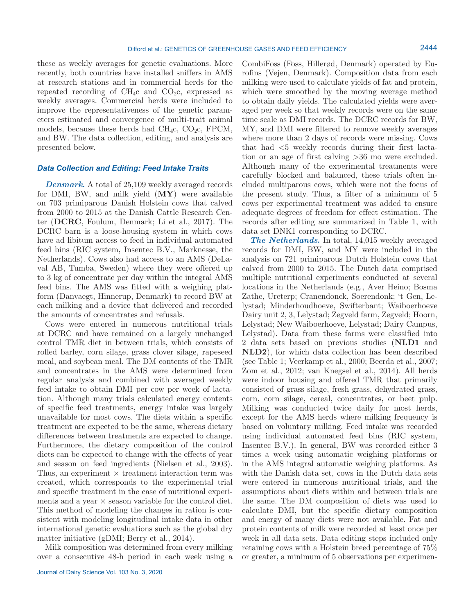these as weekly averages for genetic evaluations. More recently, both countries have installed sniffers in AMS at research stations and in commercial herds for the repeated recording of  $CH_4c$  and  $CO_2c$ , expressed as weekly averages. Commercial herds were included to improve the representativeness of the genetic parameters estimated and convergence of multi-trait animal models, because these herds had  $CH_4c$ ,  $CO_2c$ , FPCM, and BW. The data collection, editing, and analysis are presented below.

### *Data Collection and Editing: Feed Intake Traits*

*Denmark.* A total of 25,109 weekly averaged records for DMI, BW, and milk yield (**MY**) were available on 703 primiparous Danish Holstein cows that calved from 2000 to 2015 at the Danish Cattle Research Center (**DCRC**, Foulum, Denmark; Li et al., 2017). The DCRC barn is a loose-housing system in which cows have ad libitum access to feed in individual automated feed bins (RIC system, Insentec B.V., Marknesse, the Netherlands). Cows also had access to an AMS (DeLaval AB, Tumba, Sweden) where they were offered up to 3 kg of concentrate per day within the integral AMS feed bins. The AMS was fitted with a weighing platform (Danvaegt, Hinnerup, Denmark) to record BW at each milking and a device that delivered and recorded the amounts of concentrates and refusals.

Cows were entered in numerous nutritional trials at DCRC and have remained on a largely unchanged control TMR diet in between trials, which consists of rolled barley, corn silage, grass clover silage, rapeseed meal, and soybean meal. The DM contents of the TMR and concentrates in the AMS were determined from regular analysis and combined with averaged weekly feed intake to obtain DMI per cow per week of lactation. Although many trials calculated energy contents of specific feed treatments, energy intake was largely unavailable for most cows. The diets within a specific treatment are expected to be the same, whereas dietary differences between treatments are expected to change. Furthermore, the dietary composition of the control diets can be expected to change with the effects of year and season on feed ingredients (Nielsen et al., 2003). Thus, an experiment  $\times$  treatment interaction term was created, which corresponds to the experimental trial and specific treatment in the case of nutritional experiments and a year  $\times$  season variable for the control diet. This method of modeling the changes in ration is consistent with modeling longitudinal intake data in other international genetic evaluations such as the global dry matter initiative (gDMI; Berry et al., 2014).

Milk composition was determined from every milking over a consecutive 48-h period in each week using a

CombiFoss (Foss, Hillerød, Denmark) operated by Eurofins (Vejen, Denmark). Composition data from each milking were used to calculate yields of fat and protein, which were smoothed by the moving average method to obtain daily yields. The calculated yields were averaged per week so that weekly records were on the same time scale as DMI records. The DCRC records for BW, MY, and DMI were filtered to remove weekly averages where more than 2 days of records were missing. Cows that had <5 weekly records during their first lactation or an age of first calving >36 mo were excluded. Although many of the experimental treatments were carefully blocked and balanced, these trials often included multiparous cows, which were not the focus of the present study. Thus, a filter of a minimum of 5 cows per experimental treatment was added to ensure adequate degrees of freedom for effect estimation. The records after editing are summarized in Table 1, with data set DNK1 corresponding to DCRC.

*The Netherlands.* In total, 14,015 weekly averaged records for DMI, BW, and MY were included in the analysis on 721 primiparous Dutch Holstein cows that calved from 2000 to 2015. The Dutch data comprised multiple nutritional experiments conducted at several locations in the Netherlands (e.g., Aver Heino; Bosma Zathe, Ureterp; Cranendonck, Soerendonk; 't Gen, Lelystad; Minderhoudhoeve, Swifterbant; Waiboerhoeve Dairy unit 2, 3, Lelystad; Zegveld farm, Zegveld; Hoorn, Lelystad; New Waiboerhoeve, Lelystad; Dairy Campus, Lelystad). Data from these farms were classified into 2 data sets based on previous studies (**NLD1** and **NLD2**), for which data collection has been described (see Table 1; Veerkamp et al., 2000; Beerda et al., 2007; Zom et al., 2012; van Knegsel et al., 2014). All herds were indoor housing and offered TMR that primarily consisted of grass silage, fresh grass, dehydrated grass, corn, corn silage, cereal, concentrates, or beet pulp. Milking was conducted twice daily for most herds, except for the AMS herds where milking frequency is based on voluntary milking. Feed intake was recorded using individual automated feed bins (RIC system, Insentec B.V.). In general, BW was recorded either 3 times a week using automatic weighing platforms or in the AMS integral automatic weighing platforms. As with the Danish data set, cows in the Dutch data sets were entered in numerous nutritional trials, and the assumptions about diets within and between trials are the same. The DM composition of diets was used to calculate DMI, but the specific dietary composition and energy of many diets were not available. Fat and protein contents of milk were recorded at least once per week in all data sets. Data editing steps included only retaining cows with a Holstein breed percentage of 75% or greater, a minimum of 5 observations per experimen-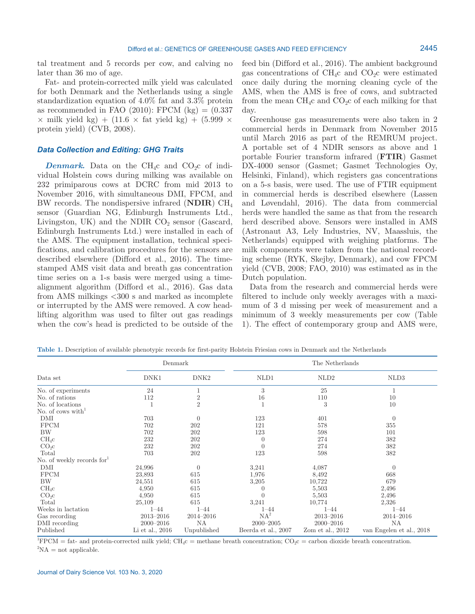tal treatment and 5 records per cow, and calving no later than 36 mo of age.

Fat- and protein-corrected milk yield was calculated for both Denmark and the Netherlands using a single standardization equation of 4.0% fat and 3.3% protein as recommended in FAO (2010): FPCM  $(kg) = (0.337)$  $\times$  milk yield kg) + (11.6  $\times$  fat yield kg) + (5.999  $\times$ protein yield) (CVB, 2008).

# *Data Collection and Editing: GHG Traits*

*Denmark.* Data on the CH<sub>4</sub>c and CO<sub>2</sub>c of individual Holstein cows during milking was available on 232 primiparous cows at DCRC from mid 2013 to November 2016, with simultaneous DMI, FPCM, and BW records. The nondispersive infrared (**NDIR**) CH4 sensor (Guardian NG, Edinburgh Instruments Ltd., Livingston, UK) and the NDIR  $CO_2$  sensor (Gascard, Edinburgh Instruments Ltd.) were installed in each of the AMS. The equipment installation, technical specifications, and calibration procedures for the sensors are described elsewhere (Difford et al., 2016). The timestamped AMS visit data and breath gas concentration time series on a 1-s basis were merged using a timealignment algorithm (Difford et al., 2016). Gas data from AMS milkings <300 s and marked as incomplete or interrupted by the AMS were removed. A cow headlifting algorithm was used to filter out gas readings when the cow's head is predicted to be outside of the feed bin (Difford et al., 2016). The ambient background gas concentrations of  $CH_4c$  and  $CO_2c$  were estimated once daily during the morning cleaning cycle of the AMS, when the AMS is free of cows, and subtracted from the mean  $CH_4c$  and  $CO_2c$  of each milking for that day.

Greenhouse gas measurements were also taken in 2 commercial herds in Denmark from November 2015 until March 2016 as part of the REMRUM project. A portable set of 4 NDIR sensors as above and 1 portable Fourier transform infrared (**FTIR**) Gasmet DX-4000 sensor (Gasmet; Gasmet Technologies Oy, Helsinki, Finland), which registers gas concentrations on a 5-s basis, were used. The use of FTIR equipment in commercial herds is described elsewhere (Lassen and Løvendahl, 2016). The data from commercial herds were handled the same as that from the research herd described above. Sensors were installed in AMS (Astronaut A3, Lely Industries, NV, Maassluis, the Netherlands) equipped with weighing platforms. The milk components were taken from the national recording scheme (RYK, Skejby, Denmark), and cow FPCM yield (CVB, 2008; FAO, 2010) was estimated as in the Dutch population.

Data from the research and commercial herds were filtered to include only weekly averages with a maximum of 3 d missing per week of measurement and a minimum of 3 weekly measurements per cow (Table 1). The effect of contemporary group and AMS were,

|                               | Denmark         |                  | The Netherlands     |                    |                          |  |
|-------------------------------|-----------------|------------------|---------------------|--------------------|--------------------------|--|
| Data set                      | DNK1            | DNK <sub>2</sub> | NLD1                | NLD <sub>2</sub>   | NLD3                     |  |
| No. of experiments            | 24              |                  | 3                   | 25                 |                          |  |
| No. of rations                | 112             | $\overline{2}$   | 16                  | 110                | 10                       |  |
| No. of locations              |                 | $\sqrt{2}$       | $\mathbf{1}$        | 3                  | 10                       |  |
| No. of cows with $\mathbf{h}$ |                 |                  |                     |                    |                          |  |
| DMI                           | 703             | $\overline{0}$   | 123                 | 401                | $\theta$                 |  |
| <b>FPCM</b>                   | 702             | 202              | 121                 | 578                | 355                      |  |
| BW                            | 702             | 202              | 123                 | 598                | 101                      |  |
| $CH_4c$                       | 232             | 202              | $\theta$            | 274                | 382                      |  |
| CO <sub>2</sub> C             | 232             | 202              | $\theta$            | 274                | 382                      |  |
| Total                         | 703             | 202              | 123                 | 598                | 382                      |  |
| No. of weekly records for     |                 |                  |                     |                    |                          |  |
| DMI                           | 24,996          | $\overline{0}$   | 3,241               | 4,087              | $\theta$                 |  |
| <b>FPCM</b>                   | 23,893          | 615              | 1,976               | 8,492              | 668                      |  |
| BW                            | 24,551          | 615              | 3,205               | 10,722             | 679                      |  |
| $CH_4c$                       | 4,950           | 615              |                     | 5,503              | 2,496                    |  |
| CO <sub>2</sub> C             | 4,950           | 615              | $\theta$            | 5,503              | 2,496                    |  |
| Total                         | 25,109          | 615              | 3,241               | 10,774             | 2,326                    |  |
| Weeks in lactation            | $1 - 44$        | $1 - 44$         | $1 - 44$            | $1 - 44$           | $1 - 44$                 |  |
| Gas recording                 | $2013 - 2016$   | 2014-2016        | $NA^2$              | $2013 - 2016$      | $2014 - 2016$            |  |
| DMI recording                 | $2000 - 2016$   | NA               | $2000 - 2005$       | $2000 - 2016$      | NA                       |  |
| Published                     | Li et al., 2016 | Unpublished      | Beerda et al., 2007 | Zom et al., $2012$ | van Engelen et al., 2018 |  |

**Table 1.** Description of available phenotypic records for first-parity Holstein Friesian cows in Denmark and the Netherlands

 ${}^{1}$ FPCM = fat- and protein-corrected milk yield; CH<sub>4</sub>c = methane breath concentration; CO<sub>2</sub>c = carbon dioxide breath concentration.  ${}^{2}NA =$  not applicable.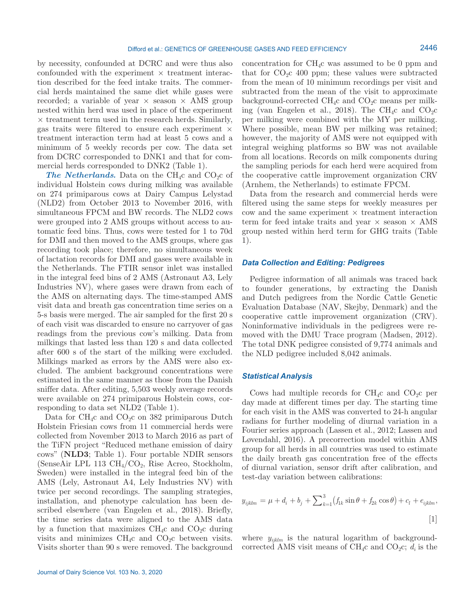by necessity, confounded at DCRC and were thus also confounded with the experiment  $\times$  treatment interaction described for the feed intake traits. The commercial herds maintained the same diet while gases were recorded; a variable of year  $\times$  season  $\times$  AMS group nested within herd was used in place of the experiment  $\times$  treatment term used in the research herds. Similarly, gas traits were filtered to ensure each experiment  $\times$ treatment interaction term had at least 5 cows and a minimum of 5 weekly records per cow. The data set from DCRC corresponded to DNK1 and that for commercial herds corresponded to DNK2 (Table 1).

**The Netherlands.** Data on the CH<sub>4</sub>c and CO<sub>2</sub>c of individual Holstein cows during milking was available on 274 primiparous cows at Dairy Campus Lelystad (NLD2) from October 2013 to November 2016, with simultaneous FPCM and BW records. The NLD2 cows were grouped into 2 AMS groups without access to automatic feed bins. Thus, cows were tested for 1 to 70d for DMI and then moved to the AMS groups, where gas recording took place; therefore, no simultaneous week of lactation records for DMI and gases were available in the Netherlands. The FTIR sensor inlet was installed in the integral feed bins of 2 AMS (Astronaut A3, Lely Industries NV), where gases were drawn from each of the AMS on alternating days. The time-stamped AMS visit data and breath gas concentration time series on a 5-s basis were merged. The air sampled for the first 20 s of each visit was discarded to ensure no carryover of gas readings from the previous cow's milking. Data from milkings that lasted less than 120 s and data collected after 600 s of the start of the milking were excluded. Milkings marked as errors by the AMS were also excluded. The ambient background concentrations were estimated in the same manner as those from the Danish sniffer data. After editing, 5,503 weekly average records were available on 274 primiparous Holstein cows, corresponding to data set NLD2 (Table 1).

Data for  $CH_4c$  and  $CO_2c$  on 382 primiparous Dutch Holstein Friesian cows from 11 commercial herds were collected from November 2013 to March 2016 as part of the TiFN project "Reduced methane emission of dairy cows" (**NLD3**; Table 1). Four portable NDIR sensors (SenseAir LPL 113  $\text{CH}_4/\text{CO}_2$ , Rise Acreo, Stockholm, Sweden) were installed in the integral feed bin of the AMS (Lely, Astronaut A4, Lely Industries NV) with twice per second recordings. The sampling strategies, installation, and phenotype calculation has been described elsewhere (van Engelen et al., 2018). Briefly, the time series data were aligned to the AMS data by a function that maximizes  $CH_4c$  and  $CO_2c$  during visits and minimizes  $\text{CH}_4\text{c}$  and  $\text{CO}_2\text{c}$  between visits. Visits shorter than 90 s were removed. The background concentration for CH4c was assumed to be 0 ppm and that for  $CO<sub>2</sub>C$  400 ppm; these values were subtracted from the mean of 10 minimum recordings per visit and subtracted from the mean of the visit to approximate background-corrected  $CH_4c$  and  $CO_2c$  means per milking (van Engelen et al., 2018). The CH<sub>4</sub>c and CO<sub>2</sub>c per milking were combined with the MY per milking. Where possible, mean BW per milking was retained; however, the majority of AMS were not equipped with integral weighing platforms so BW was not available from all locations. Records on milk components during the sampling periods for each herd were acquired from the cooperative cattle improvement organization CRV (Arnhem, the Netherlands) to estimate FPCM.

Data from the research and commercial herds were filtered using the same steps for weekly measures per  $\text{cow}$  and the same experiment  $\times$  treatment interaction term for feed intake traits and year  $\times$  season  $\times$  AMS group nested within herd term for GHG traits (Table 1).

### *Data Collection and Editing: Pedigrees*

Pedigree information of all animals was traced back to founder generations, by extracting the Danish and Dutch pedigrees from the Nordic Cattle Genetic Evaluation Database (NAV, Skejby, Denmark) and the cooperative cattle improvement organization (CRV). Noninformative individuals in the pedigrees were removed with the DMU Trace program (Madsen, 2012). The total DNK pedigree consisted of 9,774 animals and the NLD pedigree included 8,042 animals.

### *Statistical Analysis*

Cows had multiple records for  $CH_4c$  and  $CO_2c$  per day made at different times per day. The starting time for each visit in the AMS was converted to 24-h angular radians for further modeling of diurnal variation in a Fourier series approach (Lassen et al., 2012; Lassen and Løvendahl, 2016). A precorrection model within AMS group for all herds in all countries was used to estimate the daily breath gas concentration free of the effects of diurnal variation, sensor drift after calibration, and test-day variation between calibrations:

$$
y_{ijklm} = \mu + d_i + b_j + \sum_{k=1}^{3} (f_{1k} \sin \theta + f_{2k} \cos \theta) + c_l + e_{ijklm},
$$
\n[1]

where  $y_{ijklm}$  is the natural logarithm of backgroundcorrected AMS visit means of CH<sub>4</sub>c and CO<sub>2</sub>c;  $d_i$  is the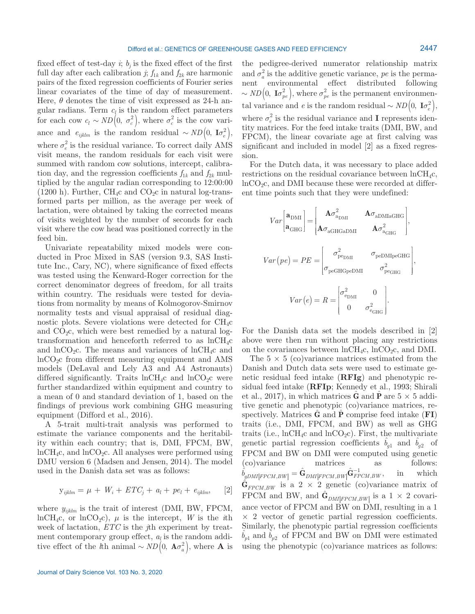fixed effect of test-day  $i$ ;  $b_j$  is the fixed effect of the first full day after each calibration *j*;  $f_{1k}$  and  $f_{2k}$  are harmonic pairs of the fixed regression coefficients of Fourier series linear covariates of the time of day of measurement. Here,  $\theta$  denotes the time of visit expressed as 24-h angular radians. Term  $c_l$  is the random effect parameters for each cow  $c_l \sim ND(0, \sigma_c^2)$ , where  $\sigma_c^2$  is the cow variance and  $e_{ijklm}$  is the random residual ~  $ND\left(0, \mathbf{I}\sigma_e^2\right)$ , where  $\sigma_e^2$  is the residual variance. To correct daily AMS visit means, the random residuals for each visit were summed with random cow solutions, intercept, calibration day, and the regression coefficients  $f_{1k}$  and  $f_{2k}$  multiplied by the angular radian corresponding to 12:00:00  $(1200 h)$ . Further, CH<sub>4</sub>c and CO<sub>2</sub>c in natural log-transformed parts per million, as the average per week of lactation, were obtained by taking the corrected means of visits weighted by the number of seconds for each visit where the cow head was positioned correctly in the feed bin.

Univariate repeatability mixed models were conducted in Proc Mixed in SAS (version 9.3, SAS Institute Inc., Cary, NC), where significance of fixed effects was tested using the Kenward-Roger correction for the correct denominator degrees of freedom, for all traits within country. The residuals were tested for deviations from normality by means of Kolmogorov-Smirnov normality tests and visual appraisal of residual diagnostic plots. Severe violations were detected for  $\text{CH}_{4}c$ and  $CO<sub>2</sub>c$ , which were best remedied by a natural logtransformation and henceforth referred to as  $lnCH_4c$ and  $\ln CO_2$ c. The means and variances of  $\ln CH_4c$  and  $ln CO<sub>2</sub>c$  from different measuring equipment and AMS models (DeLaval and Lely A3 and A4 Astronauts) differed significantly. Traits  $lnCH_4c$  and  $lnCO_2c$  were further standardized within equipment and country to a mean of 0 and standard deviation of 1, based on the findings of previous work combining GHG measuring equipment (Difford et al., 2016).

A 5-trait multi-trait analysis was performed to estimate the variance components and the heritability within each country; that is, DMI, FPCM, BW,  $lnCH_4c$ , and  $lnCO_2c$ . All analyses were performed using DMU version 6 (Madsen and Jensen, 2014). The model used in the Danish data set was as follows:

$$
\mathbf{y}_{ijklm} = \mu + W_i + ETC_j + a_l + pe_l + e_{ijklm}, \quad [2]
$$

where  $y_{ijklm}$  is the trait of interest (DMI, BW, FPCM, lnCH<sub>4</sub>c, or lnCO<sub>2</sub>c),  $\mu$  is the intercept, *W* is the *i*th week of lactation, *ETC* is the *j*th experiment by treatment contemporary group effect,  $a_l$  is the random additive effect of the *l*th animal ~  $ND(0, \mathbf{A}\sigma_a^2)$ , where **A** is

Journal of Dairy Science Vol. 103 No. 3, 2020

the pedigree-derived numerator relationship matrix and  $\sigma_a^2$  is the additive genetic variance, *pe* is the permanent environmental effect distributed following  $\sim ND(0, I\sigma_{pe}^2),$  where  $\sigma_{pe}^2$  is the permanent environmental variance and *e* is the random residual ~  $ND(0, \mathbf{I}\sigma_e^2)$ , where  $\sigma_e^2$  is the residual variance and **I** represents identity matrices. For the feed intake traits (DMI, BW, and FPCM), the linear covariate age at first calving was significant and included in model [2] as a fixed regression.

For the Dutch data, it was necessary to place added restrictions on the residual covariance between  $ln CH_4c$ ,  $ln CO<sub>2</sub>c$ , and DMI because these were recorded at different time points such that they were undefined:

$$
Var\left[\mathbf{a}_{\text{DMI}}\right] = \begin{bmatrix} \mathbf{A}\sigma_{\text{a}_{\text{DMI}}}^{2} & \mathbf{A}\sigma_{\text{a}_{\text{DMI}}\text{GHG}} \\ \mathbf{A}\sigma_{\text{a}_{\text{GHG}}\text{a}_{\text{DMI}}} & \mathbf{A}\sigma_{\text{a}_{\text{GHG}}}^{2} \end{bmatrix},
$$

$$
Var\left(p e\right) = PE = \begin{bmatrix} \sigma_{\text{pe}_{\text{DMI}}}^{2} & \sigma_{\text{pe}_{\text{DMI}}\text{p}_{\text{feGHG}}} \\ \sigma_{\text{peGHG}}\text{p}_{\text{DMI}} & \sigma_{\text{pe}_{\text{GHG}}}^{2} \end{bmatrix},
$$

$$
Var\left(e\right) = R = \begin{bmatrix} \sigma_{\text{e}_{\text{DMI}}}^{2} & 0 \\ 0 & \sigma_{\text{e}_{\text{GHG}}}^{2} \end{bmatrix}.
$$

For the Danish data set the models described in [2] above were then run without placing any restrictions on the covariances between  $lnCH_4c$ ,  $lnCO_2c$ , and DMI.

The  $5 \times 5$  (co)variance matrices estimated from the Danish and Dutch data sets were used to estimate genetic residual feed intake (**RFIg**) and phenotypic residual feed intake (**RFIp**; Kennedy et al., 1993; Shirali et al., 2017), in which matrices  $\hat{G}$  and  $\hat{P}$  are  $5 \times 5$  additive genetic and phenotypic (co)variance matrices, respectively. Matrices **G**ˆ and **P**ˆ comprise feed intake (**FI**) traits (i.e., DMI, FPCM, and BW) as well as GHG traits (i.e.,  $lnCH_4c$  and  $lnCO_2c$ ). First, the multivariate genetic partial regression coefficients  $b_{q1}$  and  $b_{q2}$  of FPCM and BW on DMI were computed using genetic (co)variance matrices as follows:  $\hat{b}_{gDMI|FPCM,BW|} = \hat{\mathbf{G}}_{DMI|FPCM,BW} \hat{\mathbf{G}}_{FPCM,BW}^{-1}$ , in which  $\hat{\mathbf{G}}_{FPCM,BW}$  is a 2 × 2 genetic (co)variance matrix of FPCM and BW, and  $\hat{\mathbf{G}}_{DMI[FPCM,BW]}$  is a  $1 \times 2$  covariance vector of FPCM and BW on DMI, resulting in a 1  $\times$  2 vector of genetic partial regression coefficients. Similarly, the phenotypic partial regression coefficients  $b_{p1}$  and  $b_{p2}$  of FPCM and BW on DMI were estimated using the phenotypic (co)variance matrices as follows: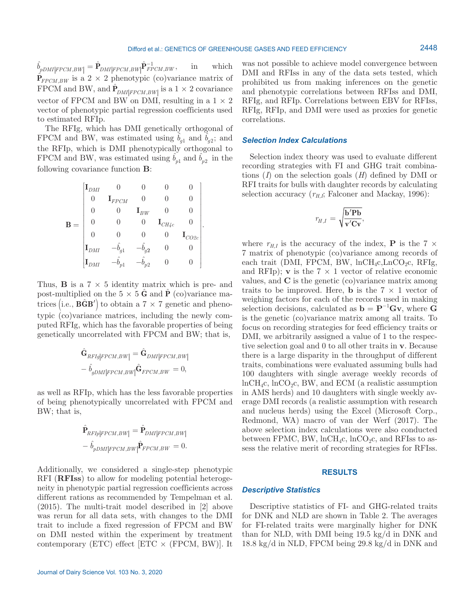$\hat{b}_{pDMI|FPCM,BW|} = \hat{P}_{DMI|FPCM,BW|} \hat{P}_{FPCM,BW}^{-1}$ , in which  $\hat{P}_{FPCM,BW}$  is a 2 × 2 phenotypic (co)variance matrix of FPCM and BW, and  $\hat{\mathbf{P}}_{DMI|FPCM,BW|}$  is a 1 × 2 covariance vector of FPCM and BW on DMI, resulting in a  $1 \times 2$ vector of phenotypic partial regression coefficients used to estimated RFIp.

The RFIg, which has DMI genetically orthogonal of FPCM and BW, was estimated using  $b_{q1}$  and  $b_{q2}$ ; and the RFIp, which is DMI phenotypically orthogonal to FPCM and BW, was estimated using  $b_{p1}$  and  $b_{p2}$  in the following covariance function **B**:

$$
\mathbf{B} = \begin{bmatrix} \mathbf{I}_{DMI} & 0 & 0 & 0 & 0 \\ 0 & \mathbf{I}_{FPCM} & 0 & 0 & 0 \\ 0 & 0 & \mathbf{I}_{BW} & 0 & 0 \\ 0 & 0 & 0 & \mathbf{I}_{CH4c} & 0 \\ 0 & 0 & 0 & 0 & \mathbf{I}_{CO2c} \\ \mathbf{I}_{DMI} & -\hat{b}_{g1} & -\hat{b}_{g2} & 0 & 0 \\ \mathbf{I}_{DMI} & -\hat{b}_{p1} & -\hat{b}_{p2} & 0 & 0 \end{bmatrix}.
$$

Thus, **B** is a  $7 \times 5$  identity matrix which is pre- and post-multiplied on the  $5 \times 5$  **G** and **P** (co)variance matrices (i.e.,  $\widehat{BGB'}$ ) to obtain a  $7 \times 7$  genetic and phenotypic (co)variance matrices, including the newly computed RFIg, which has the favorable properties of being genetically uncorrelated with FPCM and BW; that is,

$$
\hat{\mathbf{G}}_{RFIg|FPCM,BW|} = \hat{\mathbf{G}}_{DMI|FPCM,BW|} \n- \hat{b}_{gDMI|FPCM,BW|} \hat{\mathbf{G}}_{FPCM,BW} = 0,
$$

as well as RFIp, which has the less favorable properties of being phenotypically uncorrelated with FPCM and BW; that is,

$$
\hat{\mathbf{P}}_{RFIp|FPCM,BW|} = \hat{\mathbf{P}}_{DMI|FPCM,BW|} \n- \hat{b}_{pDMI|FPCM,BW|} \hat{\mathbf{P}}_{FPCM,BW} = 0.
$$

Additionally, we considered a single-step phenotypic RFI (**RFIss**) to allow for modeling potential heterogeneity in phenotypic partial regression coefficients across different rations as recommended by Tempelman et al. (2015). The multi-trait model described in [2] above was rerun for all data sets, with changes to the DMI trait to include a fixed regression of FPCM and BW on DMI nested within the experiment by treatment contemporary (ETC) effect  $|ETC \times (FPCM, BW)|$ . It was not possible to achieve model convergence between DMI and RFIss in any of the data sets tested, which prohibited us from making inferences on the genetic and phenotypic correlations between RFIss and DMI, RFIg, and RFIp. Correlations between EBV for RFIss, RFIg, RFIp, and DMI were used as proxies for genetic correlations.

### *Selection Index Calculations*

Selection index theory was used to evaluate different recording strategies with FI and GHG trait combinations (*I*) on the selection goals (*H*) defined by DMI or RFI traits for bulls with daughter records by calculating selection accuracy  $(r_{H,I};$  Falconer and Mackay, 1996):

$$
r_{H,I} = \sqrt{\frac{\mathbf{b}'\mathbf{Pb}}{\mathbf{v}'\mathbf{Cv}}},
$$

where  $r_{H,I}$  is the accuracy of the index, **P** is the 7  $\times$ 7 matrix of phenotypic (co)variance among records of each trait (DMI, FPCM, BW,  $lnCH_4c, LnCO_2c, RFIg,$ and RFIp); **v** is the  $7 \times 1$  vector of relative economic values, and **C** is the genetic (co)variance matrix among traits to be improved. Here, **b** is the  $7 \times 1$  vector of weighing factors for each of the records used in making selection decisions, calculated as  $\mathbf{b} = \mathbf{P}^{-1} \mathbf{G} \mathbf{v}$ , where **G** is the genetic (co)variance matrix among all traits. To focus on recording strategies for feed efficiency traits or DMI, we arbitrarily assigned a value of 1 to the respective selection goal and 0 to all other traits in **v**. Because there is a large disparity in the throughput of different traits, combinations were evaluated assuming bulls had 100 daughters with single average weekly records of  $lnCH<sub>4</sub>c$ ,  $lnCO<sub>2</sub>c$ , BW, and ECM (a realistic assumption in AMS herds) and 10 daughters with single weekly average DMI records (a realistic assumption with research and nucleus herds) using the Excel (Microsoft Corp., Redmond, WA) macro of van der Werf (2017). The above selection index calculations were also conducted between FPMC, BW,  $lnCH<sub>4</sub>c$ ,  $lnCO<sub>2</sub>c$ , and RFIss to assess the relative merit of recording strategies for RFIss.

### **RESULTS**

# *Descriptive Statistics*

Descriptive statistics of FI- and GHG-related traits for DNK and NLD are shown in Table 2. The averages for FI-related traits were marginally higher for DNK than for NLD, with DMI being 19.5 kg/d in DNK and 18.8 kg/d in NLD, FPCM being 29.8 kg/d in DNK and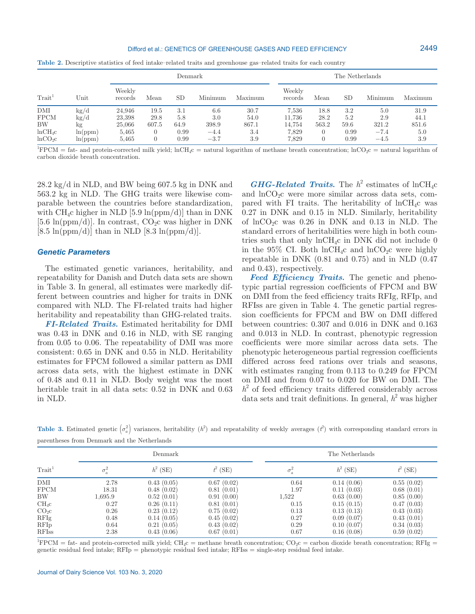#### Difford et al.: GENETICS OF GREENHOUSE GASES AND FEED EFFICIENCY

| se-related traits and greenhouse gas-related traits for each country |                 |
|----------------------------------------------------------------------|-----------------|
| Denmark                                                              | The Netherlands |
|                                                                      | Weekly          |

|  | Table 2. Descriptive statistics of feed intake-related traits and greenhouse gas-related traits for each country |
|--|------------------------------------------------------------------------------------------------------------------|
|--|------------------------------------------------------------------------------------------------------------------|

records Mean SD Minimum Maximum

 ${}^{1}$ FPCM = fat- and protein-corrected milk yield; lnCH<sub>4</sub>c = natural logarithm of methane breath concentration; lnCO<sub>2</sub>c = natural logarithm of carbon dioxide breath concentration.

DMI kg/d 24,946 19.5 3.1 6.6 30.7 7,536 18.8 3.2 5.0 31.9 FPCM kg/d 23,398 29.8 5.8 3.0 54.0 11,736 28.2 5.2 2.9 44.1 BW kg 25,066 607.5 64.9 398.9 867.1 14,754 563.2 59.6 321.2 851.6 lnCH4c ln(ppm) 5,465 0 0.99 −4.4 3.4 7,829 0 0.99 −7.4 5.0 lnCO2c ln(ppm) 5,465 0 0.99 −3.7 3.9 7,829 0 0.99 −4.5 3.9

28.2 kg/d in NLD, and BW being 607.5 kg in DNK and 563.2 kg in NLD. The GHG traits were likewise comparable between the countries before standardization, with  $CH_4c$  higher in NLD [5.9 ln(ppm/d)] than in DNK [5.6 ln(ppm/d)]. In contrast,  $CO<sub>2</sub>C$  was higher in DNK  $[8.5 \ln(ppm/d)]$  than in NLD  $[8.3 \ln(ppm/d)]$ .

Weekly

### *Genetic Parameters*

 $\text{Trait}^1$  Unit

The estimated genetic variances, heritability, and repeatability for Danish and Dutch data sets are shown in Table 3. In general, all estimates were markedly different between countries and higher for traits in DNK compared with NLD. The FI-related traits had higher heritability and repeatability than GHG-related traits.

*FI-Related Traits.* Estimated heritability for DMI was 0.43 in DNK and 0.16 in NLD, with SE ranging from 0.05 to 0.06. The repeatability of DMI was more consistent: 0.65 in DNK and 0.55 in NLD. Heritability estimates for FPCM followed a similar pattern as DMI across data sets, with the highest estimate in DNK of 0.48 and 0.11 in NLD. Body weight was the most heritable trait in all data sets: 0.52 in DNK and 0.63 in NLD.

*GHG-Related Traits.* The  $h^2$  estimates of lnCH<sub>4</sub>c and  $\ln CO_2$ c were more similar across data sets, compared with FI traits. The heritability of  $lnCH_4c$  was 0.27 in DNK and 0.15 in NLD. Similarly, heritability of  $\ln CO_2$ c was 0.26 in DNK and 0.13 in NLD. The standard errors of heritabilities were high in both countries such that only  $lnCH_4c$  in DNK did not include 0 in the  $95\%$  CI. Both lnCH<sub>4</sub>c and lnCO<sub>2</sub>c were highly repeatable in DNK (0.81 and 0.75) and in NLD (0.47 and 0.43), respectively.

records Mean SD Minimum Maximum

*Feed Efficiency Traits.* The genetic and phenotypic partial regression coefficients of FPCM and BW on DMI from the feed efficiency traits RFIg, RFIp, and RFIss are given in Table 4. The genetic partial regression coefficients for FPCM and BW on DMI differed between countries: 0.307 and 0.016 in DNK and 0.163 and 0.013 in NLD. In contrast, phenotypic regression coefficients were more similar across data sets. The phenotypic heterogeneous partial regression coefficients differed across feed rations over trials and seasons, with estimates ranging from 0.113 to 0.249 for FPCM on DMI and from 0.07 to 0.020 for BW on DMI. The  $h<sup>2</sup>$  of feed efficiency traits differed considerably across data sets and trait definitions. In general,  $h^2$  was higher

**Table 3.** Estimated genetic  $\left(\sigma_a^2\right)$  variances, heritability  $(h^2)$  and repeatability of weekly averages  $(t^2)$  with corresponding standard errors in parentheses from Denmark and the Netherlands

|                    |            | Denmark    |            |       | The Netherlands |            |  |
|--------------------|------------|------------|------------|-------|-----------------|------------|--|
| Train <sup>1</sup> | $\sigma^*$ | $h^2$ (SE) | $t^2$ (SE) |       | $h^2$ (SE)      | $t^2$ (SE) |  |
| DMI                | 2.78       | 0.43(0.05) | 0.67(0.02) | 0.64  | 0.14(0.06)      | 0.55(0.02) |  |
| <b>FPCM</b>        | 18.31      | 0.48(0.02) | 0.81(0.01) | 1.97  | 0.11(0.03)      | 0.68(0.01) |  |
| BW                 | 1,695.9    | 0.52(0.01) | 0.91(0.00) | 1,522 | 0.63(0.00)      | 0.85(0.00) |  |
| $CH_4c$            | 0.27       | 0.26(0.11) | 0.81(0.01) | 0.15  | 0.15(0.15)      | 0.47(0.03) |  |
| CO <sub>2</sub> c  | 0.26       | 0.23(0.12) | 0.75(0.02) | 0.13  | 0.13(0.13)      | 0.43(0.03) |  |
| RFIg               | 0.48       | 0.14(0.05) | 0.45(0.02) | 0.27  | 0.09(0.07)      | 0.43(0.01) |  |
| <b>RFIp</b>        | 0.64       | 0.21(0.05) | 0.43(0.02) | 0.29  | 0.10(0.07)      | 0.34(0.03) |  |
| <b>RFIss</b>       | 2.38       | 0.43(0.06) | 0.67(0.01) | 0.67  | 0.16(0.08)      | 0.59(0.02) |  |

 ${}^{1}$ FPCM = fat- and protein-corrected milk yield; CH<sub>4</sub>c = methane breath concentration; CO<sub>2</sub>c = carbon dioxide breath concentration; RFIg = genetic residual feed intake; RFIp = phenotypic residual feed intake; RFIss = single-step residual feed intake.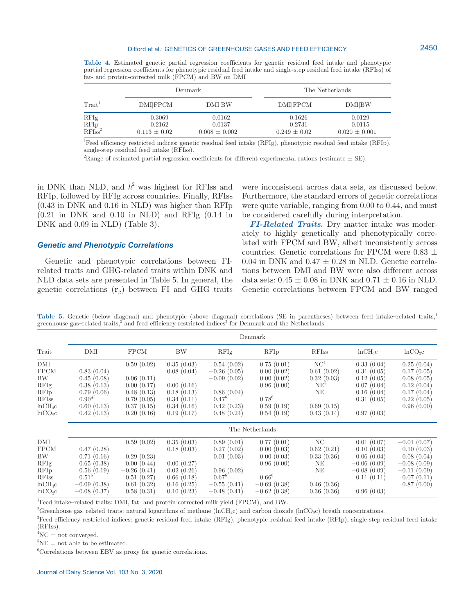#### Difford et al.: GENETICS OF GREENHOUSE GASES AND FEED EFFICIENCY

**Table 4.** Estimated genetic partial regression coefficients for genetic residual feed intake and phenotypic partial regression coefficients for phenotypic residual feed intake and single-step residual feed intake (RFIss) of fat- and protein-corrected milk (FPCM) and BW on DMI

|                                               |                                      | Denmark                               | The Netherlands                      |                                       |  |
|-----------------------------------------------|--------------------------------------|---------------------------------------|--------------------------------------|---------------------------------------|--|
| Train <sup>1</sup>                            | <b>DMIFPCM</b>                       | <b>DMI</b> BW                         | <b>DMIFPCM</b>                       | <b>DMIBW</b>                          |  |
| <b>RFIg</b><br>RFI <sub>ss</sub> <sup>2</sup> | 0.3069<br>0.2162<br>$0.113 \pm 0.02$ | 0.0162<br>0.0137<br>$0.008 \pm 0.002$ | 0.1626<br>0.2731<br>$0.249 \pm 0.02$ | 0.0129<br>0.0115<br>$0.020 \pm 0.001$ |  |

<sup>1</sup>Feed efficiency restricted indices: genetic residual feed intake (RFIg), phenotypic residual feed intake (RFIp), single-step residual feed intake (RFIss).

<sup>2</sup>Range of estimated partial regression coefficients for different experimental rations (estimate  $\pm$  SE).

in DNK than NLD, and  $h^2$  was highest for RFIss and RFIp, followed by RFIg across countries. Finally, RFIss (0.43 in DNK and 0.16 in NLD) was higher than RFIp  $(0.21 \text{ in DNK and } 0.10 \text{ in NLD})$  and RFIg  $(0.14 \text{ in}$ DNK and 0.09 in NLD) (Table 3).

### *Genetic and Phenotypic Correlations*

Genetic and phenotypic correlations between FIrelated traits and GHG-related traits within DNK and NLD data sets are presented in Table 5. In general, the genetic correlations (**rg**) between FI and GHG traits were inconsistent across data sets, as discussed below. Furthermore, the standard errors of genetic correlations were quite variable, ranging from 0.00 to 0.44, and must be considered carefully during interpretation.

*FI-Related Traits.* Dry matter intake was moderately to highly genetically and phenotypically correlated with FPCM and BW, albeit inconsistently across countries. Genetic correlations for FPCM were 0.83  $\pm$ 0.04 in DNK and  $0.47 \pm 0.28$  in NLD. Genetic correlations between DMI and BW were also different across data sets:  $0.45 \pm 0.08$  in DNK and  $0.71 \pm 0.16$  in NLD. Genetic correlations between FPCM and BW ranged

Table 5. Genetic (below diagonal) and phenotypic (above diagonal) correlations (SE in parentheses) between feed intake–related traits,<sup>1</sup> greenhouse gas-related traits,<sup>2</sup> and feed efficiency restricted indices<sup>3</sup> for Denmark and the Netherlands

|                                                                                                      | Denmark                                                                                              |                                                                                                   |                                                                                                |                                                                                                      |                                                                                                      |                                                                                                  |                                                                                                      |                                                                                                         |
|------------------------------------------------------------------------------------------------------|------------------------------------------------------------------------------------------------------|---------------------------------------------------------------------------------------------------|------------------------------------------------------------------------------------------------|------------------------------------------------------------------------------------------------------|------------------------------------------------------------------------------------------------------|--------------------------------------------------------------------------------------------------|------------------------------------------------------------------------------------------------------|---------------------------------------------------------------------------------------------------------|
| Trait                                                                                                | DMI                                                                                                  | <b>FPCM</b>                                                                                       | BW                                                                                             | RFIg                                                                                                 | <b>RFIp</b>                                                                                          | <b>RFIss</b>                                                                                     | $lnCH_4c$                                                                                            | ln CO <sub>2</sub> C                                                                                    |
| DMI<br><b>FPCM</b><br>BW<br>RFIg<br><b>RFIp</b><br><b>RFIss</b><br>$lnCH_4c$<br>ln CO <sub>2</sub> C | 0.83(0.04)<br>0.45(0.08)<br>0.38(0.13)<br>0.79(0.06)<br>$0.90*$<br>0.60(0.13)<br>0.42(0.13)          | 0.59(0.02)<br>0.06(0.11)<br>0.00(0.17)<br>0.48(0.13)<br>0.79(0.05)<br>0.37(0.15)<br>0.20(0.16)    | 0.35(0.03)<br>0.08(0.04)<br>0.00(0.16)<br>0.18(0.13)<br>0.34(0.11)<br>0.34(0.16)<br>0.19(0.17) | 0.54(0.02)<br>$-0.26(0.05)$<br>$-0.09(0.02)$<br>0.86(0.04)<br>$0.47^{6}$<br>0.42(0.23)<br>0.48(0.24) | 0.75(0.01)<br>0.00(0.02)<br>0.00(0.02)<br>0.96(0.00)<br>$0.78^{6}$<br>0.59(0.19)<br>0.54(0.19)       | NC <sup>4</sup><br>0.61(0.02)<br>0.32(0.03)<br>NE <sup>5</sup><br>NE<br>0.69(0.15)<br>0.43(0.14) | 0.33(0.04)<br>0.31(0.05)<br>0.12(0.05)<br>0.07(0.04)<br>0.16(0.04)<br>0.31(0.05)<br>0.97(0.03)       | 0.25(0.04)<br>0.17(0.05)<br>0.08(0.05)<br>0.12(0.04)<br>0.17(0.04)<br>0.22(0.05)<br>0.96(0.00)          |
|                                                                                                      | The Netherlands                                                                                      |                                                                                                   |                                                                                                |                                                                                                      |                                                                                                      |                                                                                                  |                                                                                                      |                                                                                                         |
| DMI<br><b>FPCM</b><br>BW<br>RFIg<br><b>RFIp</b><br><b>RFIss</b><br>$lnCH_4c$<br>ln CO <sub>2</sub> C | 0.47(0.28)<br>0.71(0.16)<br>0.65(0.38)<br>0.56(0.19)<br>$0.51^{6}$<br>$-0.09(0.38)$<br>$-0.08(0.37)$ | 0.59(0.02)<br>0.29(0.23)<br>0.00(0.44)<br>$-0.26(0.41)$<br>0.51(0.27)<br>0.61(0.32)<br>0.58(0.31) | 0.35(0.03)<br>0.18(0.03)<br>0.00(0.27)<br>0.02(0.26)<br>0.66(0.18)<br>0.16(0.25)<br>0.10(0.23) | 0.89(0.01)<br>0.27(0.02)<br>0.01(0.03)<br>0.96(0.02)<br>$0.67^6$<br>$-0.55(0.41)$<br>$-0.48(0.41)$   | 0.77(0.01)<br>0.00(0.03)<br>0.00(0.03)<br>0.96(0.00)<br>$0.66^{6}$<br>$-0.69(0.38)$<br>$-0.62(0.38)$ | NC<br>0.62(0.21)<br>0.33(0.36)<br>NE<br>NΕ<br>0.46(0.36)<br>0.36(0.36)                           | 0.01(0.07)<br>0.10(0.03)<br>0.06(0.04)<br>$-0.06(0.09)$<br>$-0.08(0.09)$<br>0.11(0.11)<br>0.96(0.03) | $-0.01(0.07)$<br>0.10(0.03)<br>0.08(0.04)<br>$-0.08(0.09)$<br>$-0.11(0.09)$<br>0.07(0.11)<br>0.87(0.00) |

<sup>1</sup>Feed intake–related traits: DMI, fat- and protein-corrected milk yield (FPCM), and BW.

<sup>2</sup>Greenhouse gas–related traits: natural logarithms of methane (lnCH<sub>4</sub>c) and carbon dioxide (lnCO<sub>2</sub>c) breath concentrations.

<sup>3</sup>Feed efficiency restricted indices: genetic residual feed intake (RFIg), phenotypic residual feed intake (RFIp), single-step residual feed intake (RFIss).

 ${}^{4}NC = not$  converged.

 ${}^{5}$ NE = not able to be estimated.

6 Correlations between EBV as proxy for genetic correlations.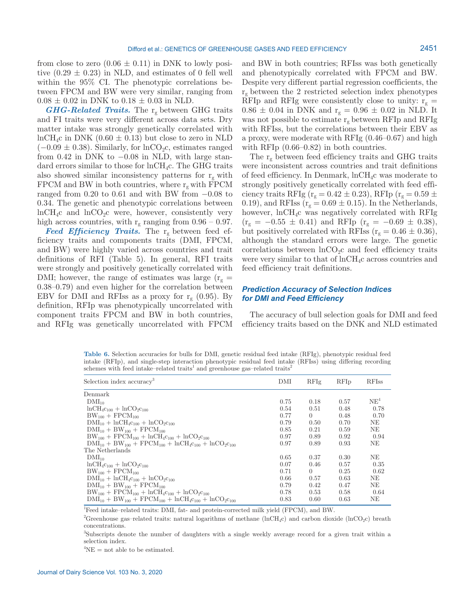from close to zero  $(0.06 \pm 0.11)$  in DNK to lowly positive  $(0.29 \pm 0.23)$  in NLD, and estimates of 0 fell well within the 95% CI. The phenotypic correlations between FPCM and BW were very similar, ranging from  $0.08 \pm 0.02$  in DNK to  $0.18 \pm 0.03$  in NLD.

*GHG-Related Traits.* The rg between GHG traits and FI traits were very different across data sets. Dry matter intake was strongly genetically correlated with  $lnCH_4c$  in DNK (0.60  $\pm$  0.13) but close to zero in NLD  $(-0.09 \pm 0.38)$ . Similarly, for lnCO<sub>2</sub>c, estimates ranged from  $0.42$  in DNK to  $-0.08$  in NLD, with large standard errors similar to those for lnCH4c. The GHG traits also showed similar inconsistency patterns for  $r_g$  with FPCM and BW in both countries, where  $r_g$  with FPCM ranged from  $0.20$  to  $0.61$  and with BW from  $-0.08$  to 0.34. The genetic and phenotypic correlations between  $lnCH_4c$  and  $lnCO_2c$  were, however, consistently very high across countries, with  $r_g$  ranging from 0.96 – 0.97.

Feed Efficiency Traits. The r<sub>g</sub> between feed efficiency traits and components traits (DMI, FPCM, and BW) were highly varied across countries and trait definitions of RFI (Table 5). In general, RFI traits were strongly and positively genetically correlated with DMI; however, the range of estimates was large  $(r_g =$ 0.38–0.79) and even higher for the correlation between EBV for DMI and RFIss as a proxy for  $r_g$  (0.95). By definition, RFIp was phenotypically uncorrelated with component traits FPCM and BW in both countries, and RFIg was genetically uncorrelated with FPCM and BW in both countries; RFIss was both genetically and phenotypically correlated with FPCM and BW. Despite very different partial regression coefficients, the  $r_g$  between the 2 restricted selection index phenotypes RFIp and RFIg were consistently close to unity:  $r_g =$  $0.86 \pm 0.04$  in DNK and  $r_g = 0.96 \pm 0.02$  in NLD. It was not possible to estimate  $r_g$  between RFIp and RFIg with RFIss, but the correlations between their EBV as a proxy, were moderate with RFIg (0.46–0.67) and high with RFIp  $(0.66-0.82)$  in both countries.

The  $r_g$  between feed efficiency traits and GHG traits were inconsistent across countries and trait definitions of feed efficiency. In Denmark, lnCH4c was moderate to strongly positively genetically correlated with feed efficiency traits RFIg ( $r_g = 0.42 \pm 0.23$ ), RFIp ( $r_g = 0.59 \pm 0.59$ ) 0.19), and RFIss ( $r_g = 0.69 \pm 0.15$ ). In the Netherlands, however, lnCH4c was negatively correlated with RFIg  $(r<sub>g</sub> = -0.55 \pm 0.41)$  and RFIp  $(r<sub>g</sub> = -0.69 \pm 0.38)$ , but positively correlated with RFIss ( $r_g = 0.46 \pm 0.36$ ), although the standard errors were large. The genetic correlations between  $ln CO<sub>2</sub>c$  and feed efficiency traits were very similar to that of  $lnCH_4c$  across countries and feed efficiency trait definitions.

# *Prediction Accuracy of Selection Indices for DMI and Feed Efficiency*

The accuracy of bull selection goals for DMI and feed efficiency traits based on the DNK and NLD estimated

**Table 6.** Selection accuracies for bulls for DMI, genetic residual feed intake (RFIg), phenotypic residual feed intake (RFIp), and single-step interaction phenotypic residual feed intake (RFIss) using differing recording schemes with feed intake–related traits<sup>1</sup> and greenhouse gas–related traits<sup>2</sup>

| Selection index accuracy <sup>3</sup>                                                                          | DMI  | RFIg     | <b>RFIp</b> | <b>RFIss</b>    |
|----------------------------------------------------------------------------------------------------------------|------|----------|-------------|-----------------|
| Denmark                                                                                                        |      |          |             |                 |
| $\text{DMI}_{10}$                                                                                              | 0.75 | 0.18     | 0.57        | NE <sup>4</sup> |
| $lnCH_4c_{100} + lnCO_2c_{100}$                                                                                | 0.54 | 0.51     | 0.48        | 0.78            |
| $BW_{100}$ + $FPCM_{100}$                                                                                      | 0.77 | $\Omega$ | 0.48        | 0.70            |
| $\text{DMI}_{10} + \text{lnCH}_{4}c_{100} + \text{lnCO}_{2}c_{100}$                                            | 0.79 | 0.50     | 0.70        | NE              |
| $\text{DMI}_{10}$ + BW <sub>100</sub> + FPCM <sub>100</sub>                                                    | 0.85 | 0.21     | 0.59        | NΕ              |
| $BW_{100}$ + $FPCM_{100}$ + $lnCH_{4}c_{100}$ + $lnCO_{2}c_{100}$                                              | 0.97 | 0.89     | 0.92        | 0.94            |
| ${\rm DMI}_{10}$ + BW <sub>100</sub> + FPCM <sub>100</sub> + ${\rm lnCH}_{4}c_{100}$ + ${\rm lnCO}_{2}c_{100}$ | 0.97 | 0.89     | 0.93        | NΕ              |
| The Netherlands                                                                                                |      |          |             |                 |
| $\mathrm{DMI}_{10}$                                                                                            | 0.65 | 0.37     | 0.30        | NΕ              |
| $lnCH_4c_{100} + lnCO_2c_{100}$                                                                                | 0.07 | 0.46     | 0.57        | 0.35            |
| $BW_{100}$ + $FPCM_{100}$                                                                                      | 0.71 | $\Omega$ | 0.25        | 0.62            |
| $\text{DMI}_{10} + \text{lnCH}_{4}c_{100} + \text{lnCO}_{2}c_{100}$                                            | 0.66 | 0.57     | 0.63        | NE              |
| ${\rm DMI}_{10} + {\rm BW}_{100} + {\rm FPCM}_{100}$                                                           | 0.79 | 0.42     | 0.47        | NΕ              |
| $BW_{100}$ + $FPCM_{100}$ + $lnCH_{4}c_{100}$ + $lnCO_{2}c_{100}$                                              | 0.78 | 0.53     | 0.58        | 0.64            |
| $\text{DMI}_{10} + \text{BW}_{100} + \text{FPCM}_{100} + \text{lnCH}_{4}c_{100} + \text{lnCO}_{2}c_{100}$      | 0.83 | 0.60     | 0.63        | NΕ              |

1 Feed intake–related traits: DMI, fat- and protein-corrected milk yield (FPCM), and BW.

<sup>2</sup>Greenhouse gas–related traits: natural logarithms of methane (lnCH<sub>4</sub>c) and carbon dioxide (lnCO<sub>2</sub>c) breath concentrations.

3 Subscripts denote the number of daughters with a single weekly average record for a given trait within a selection index.

 ${}^{4}NE$  = not able to be estimated.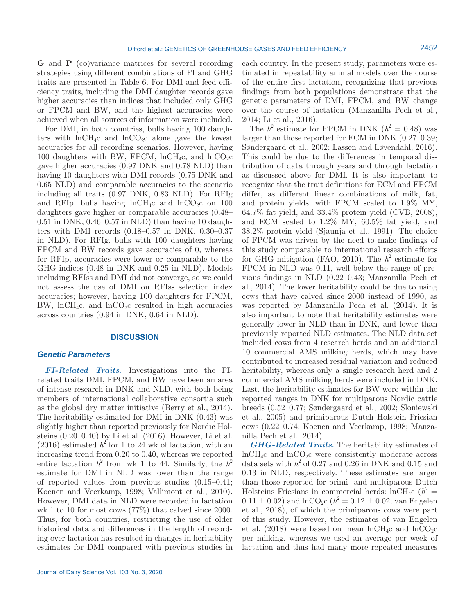**G** and **P** (co)variance matrices for several recording strategies using different combinations of FI and GHG traits are presented in Table 6. For DMI and feed efficiency traits, including the DMI daughter records gave higher accuracies than indices that included only GHG or FPCM and BW, and the highest accuracies were achieved when all sources of information were included.

For DMI, in both countries, bulls having 100 daughters with  $ln CH_4c$  and  $ln CO_2c$  alone gave the lowest accuracies for all recording scenarios. However, having 100 daughters with BW, FPCM,  $lnCH_4c$ , and  $lnCO_2c$ gave higher accuracies (0.97 DNK and 0.78 NLD) than having 10 daughters with DMI records (0.75 DNK and 0.65 NLD) and comparable accuracies to the scenario including all traits (0.97 DNK, 0.83 NLD). For RFIg and RFIp, bulls having  $lnCH_4c$  and  $lnCO_2c$  on 100 daughters gave higher or comparable accuracies (0.48– 0.51 in DNK, 0.46–0.57 in NLD) than having 10 daughters with DMI records (0.18–0.57 in DNK, 0.30–0.37 in NLD). For RFIg, bulls with 100 daughters having FPCM and BW records gave accuracies of 0, whereas for RFIp, accuracies were lower or comparable to the GHG indices (0.48 in DNK and 0.25 in NLD). Models including RFIss and DMI did not converge, so we could not assess the use of DMI on RFIss selection index accuracies; however, having 100 daughters for FPCM, BW, lnCH<sub>4</sub>c, and lnCO<sub>2</sub>c resulted in high accuracies across countries (0.94 in DNK, 0.64 in NLD).

# **DISCUSSION**

# *Genetic Parameters*

*FI-Related Traits.* Investigations into the FIrelated traits DMI, FPCM, and BW have been an area of intense research in DNK and NLD, with both being members of international collaborative consortia such as the global dry matter initiative (Berry et al., 2014). The heritability estimated for DMI in DNK (0.43) was slightly higher than reported previously for Nordic Holsteins (0.20–0.40) by Li et al. (2016). However, Li et al.  $(2016)$  estimated  $h^2$  for 1 to 24 wk of lactation, with an increasing trend from 0.20 to 0.40, whereas we reported entire lactation  $h^2$  from wk 1 to 44. Similarly, the  $h^2$ estimate for DMI in NLD was lower than the range of reported values from previous studies (0.15–0.41; Koenen and Veerkamp, 1998; Vallimont et al., 2010). However, DMI data in NLD were recorded in lactation wk 1 to 10 for most cows (77%) that calved since 2000. Thus, for both countries, restricting the use of older historical data and differences in the length of recording over lactation has resulted in changes in heritability estimates for DMI compared with previous studies in

each country. In the present study, parameters were estimated in repeatability animal models over the course of the entire first lactation, recognizing that previous findings from both populations demonstrate that the genetic parameters of DMI, FPCM, and BW change over the course of lactation (Manzanilla Pech et al., 2014; Li et al., 2016).

The  $h^2$  estimate for FPCM in DNK ( $h^2 = 0.48$ ) was larger than those reported for ECM in DNK (0.27–0.39; Søndergaard et al., 2002; Lassen and Løvendahl, 2016). This could be due to the differences in temporal distribution of data through years and through lactation as discussed above for DMI. It is also important to recognize that the trait definitions for ECM and FPCM differ, as different linear combinations of milk, fat, and protein yields, with FPCM scaled to 1.9% MY, 64.7% fat yield, and 33.4% protein yield (CVB, 2008), and ECM scaled to 1.2% MY, 60.5% fat yield, and 38.2% protein yield (Sjaunja et al., 1991). The choice of FPCM was driven by the need to make findings of this study comparable to international research efforts for GHG mitigation (FAO, 2010). The  $h^2$  estimate for FPCM in NLD was 0.11, well below the range of previous findings in NLD (0.22–0.43; Manzanilla Pech et al., 2014). The lower heritability could be due to using cows that have calved since 2000 instead of 1990, as was reported by Manzanilla Pech et al. (2014). It is also important to note that heritability estimates were generally lower in NLD than in DNK, and lower than previously reported NLD estimates. The NLD data set included cows from 4 research herds and an additional 10 commercial AMS milking herds, which may have contributed to increased residual variation and reduced heritability, whereas only a single research herd and 2 commercial AMS milking herds were included in DNK. Last, the heritability estimates for BW were within the reported ranges in DNK for multiparous Nordic cattle breeds (0.52–0.77; Søndergaard et al., 2002; Sloniewski et al., 2005) and primiparous Dutch Holstein Friesian cows (0.22–0.74; Koenen and Veerkamp, 1998; Manzanilla Pech et al., 2014).

*GHG-Related Traits.* The heritability estimates of  $lnCH<sub>4</sub>c$  and  $lnCO<sub>2</sub>c$  were consistently moderate across data sets with  $h^2$  of 0.27 and 0.26 in DNK and 0.15 and 0.13 in NLD, respectively. These estimates are larger than those reported for primi- and multiparous Dutch Holsteins Friesians in commercial herds:  $lnCH_4c$  ( $h^2 =$  $0.11 \pm 0.02$ ) and  $ln CO<sub>2</sub>C$  ( $h<sup>2</sup> = 0.12 \pm 0.02$ ; van Engelen et al., 2018), of which the primiparous cows were part of this study. However, the estimates of van Engelen et al. (2018) were based on mean  $lnCH_4c$  and  $lnCO_2c$ per milking, whereas we used an average per week of lactation and thus had many more repeated measures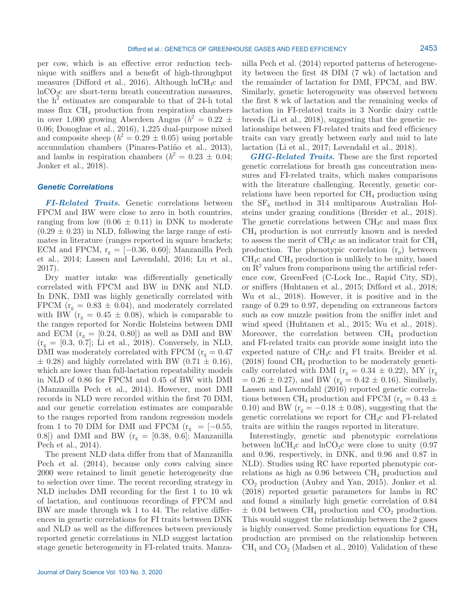per cow, which is an effective error reduction technique with sniffers and a benefit of high-throughput measures (Difford et al., 2016). Although  $lnCH_4c$  and  $ln CO<sub>2</sub>c$  are short-term breath concentration measures, the  $h^2$  estimates are comparable to that of 24-h total mass flux  $CH_4$  production from respiration chambers in over 1,000 growing Aberdeen Angus  $(h^2 = 0.22 \pm 1)$ 0.06; Donoghue et al., 2016), 1,225 dual-purpose mixed and composite sheep  $(h^2 = 0.29 \pm 0.05)$  using portable accumulation chambers (Pinares-Patiño et al., 2013), and lambs in respiration chambers  $(h^2 = 0.23 \pm 0.04)$ ; Jonker et al., 2018).

# *Genetic Correlations*

*FI-Related Traits.* Genetic correlations between FPCM and BW were close to zero in both countries, ranging from low  $(0.06 \pm 0.11)$  in DNK to moderate  $(0.29 \pm 0.23)$  in NLD, following the large range of estimates in literature (ranges reported in square brackets; ECM and FPCM,  $r_g = [-0.36, 0.60]$ ; Manzanilla Pech et al., 2014; Lassen and Løvendahl, 2016; Lu et al., 2017).

Dry matter intake was differentially genetically correlated with FPCM and BW in DNK and NLD. In DNK, DMI was highly genetically correlated with FPCM ( $r_g = 0.83 \pm 0.04$ ), and moderately correlated with BW ( $r_g = 0.45 \pm 0.08$ ), which is comparable to the ranges reported for Nordic Holsteins between DMI and ECM  $(r_g = [0.24, 0.80])$  as well as DMI and BW  $(r_g = [0.3, 0.7];$  Li et al., 2018). Conversely, in NLD, DMI was moderately correlated with FPCM ( $r_g = 0.47$ )  $\pm$  0.28) and highly correlated with BW (0.71  $\pm$  0.16), which are lower than full-lactation repeatability models in NLD of 0.86 for FPCM and 0.45 of BW with DMI (Manzanilla Pech et al., 2014). However, most DMI records in NLD were recorded within the first 70 DIM, and our genetic correlation estimates are comparable to the ranges reported from random regression models from 1 to 70 DIM for DMI and FPCM ( $r_g$  = [-0.55, 0.8]) and DMI and BW ( $r_g = [0.38, 0.6]$ ; Manzanilla Pech et al., 2014).

The present NLD data differ from that of Manzanilla Pech et al. (2014), because only cows calving since 2000 were retained to limit genetic heterogeneity due to selection over time. The recent recording strategy in NLD includes DMI recording for the first 1 to 10 wk of lactation, and continuous recordings of FPCM and BW are made through wk 1 to 44. The relative differences in genetic correlations for FI traits between DNK and NLD as well as the differences between previously reported genetic correlations in NLD suggest lactation stage genetic heterogeneity in FI-related traits. Manza-

Journal of Dairy Science Vol. 103 No. 3, 2020

nilla Pech et al. (2014) reported patterns of heterogeneity between the first 48 DIM (7 wk) of lactation and the remainder of lactation for DMI, FPCM, and BW. Similarly, genetic heterogeneity was observed between the first 8 wk of lactation and the remaining weeks of lactation in FI-related traits in 3 Nordic dairy cattle breeds (Li et al., 2018), suggesting that the genetic relationships between FI-related traits and feed efficiency traits can vary greatly between early and mid to late lactation (Li et al., 2017; Løvendahl et al., 2018).

*GHG-Related Traits.* These are the first reported genetic correlations for breath gas concentration measures and FI-related traits, which makes comparisons with the literature challenging. Recently, genetic correlations have been reported for  $CH<sub>4</sub>$  production using the  $SF_6$  method in 314 multiparous Australian Holsteins under grazing conditions (Breider et al., 2018). The genetic correlations between  $CH_4c$  and mass flux  $CH<sub>4</sub>$  production is not currently known and is needed to assess the merit of  $\text{CH}_4c$  as an indicator trait for  $\text{CH}_4$ production. The phenotypic correlation  $(r_p)$  between  $CH<sub>4</sub>c$  and  $CH<sub>4</sub>$  production is unlikely to be unity, based on  $R<sup>2</sup>$  values from comparisons using the artificial reference cow, GreenFeed (C-Lock Inc., Rapid City, SD), or sniffers (Huhtanen et al., 2015; Difford et al., 2018; Wu et al., 2018). However, it is positive and in the range of 0.29 to 0.97, depending on extraneous factors such as cow muzzle position from the sniffer inlet and wind speed (Huhtanen et al., 2015; Wu et al., 2018). Moreover, the correlation between  $CH<sub>4</sub>$  production and FI-related traits can provide some insight into the expected nature of CH4c and FI traits. Breider et al.  $(2018)$  found  $CH<sub>4</sub>$  production to be moderately genetically correlated with DMI ( $r_g = 0.34 \pm 0.22$ ), MY ( $r_g$  $= 0.26 \pm 0.27$ , and BW (r<sub>g</sub> = 0.42  $\pm$  0.16). Similarly, Lassen and Løvendahl (2016) reported genetic correlations between CH<sub>4</sub> production and FPCM ( $r_g = 0.43 \pm 0.43$ ) 0.10) and BW ( $r_g = -0.18 \pm 0.08$ ), suggesting that the genetic correlations we report for CH4c and FI-related traits are within the ranges reported in literature.

Interestingly, genetic and phenotypic correlations between  $lnCH_4c$  and  $lnCO_2c$  were close to unity (0.97 and 0.96, respectively, in DNK, and 0.96 and 0.87 in NLD). Studies using RC have reported phenotypic correlations as high as  $0.96$  between  $\text{CH}_4$  production and  $CO<sub>2</sub>$  production (Aubry and Yan, 2015). Jonker et al. (2018) reported genetic parameters for lambs in RC and found a similarly high genetic correlation of 0.84  $\pm$  0.04 between CH<sub>4</sub> production and CO<sub>2</sub> production. This would suggest the relationship between the 2 gases is highly conserved. Some prediction equations for  $\text{CH}_4$ production are premised on the relationship between  $CH<sub>4</sub>$  and  $CO<sub>2</sub>$  (Madsen et al., 2010). Validation of these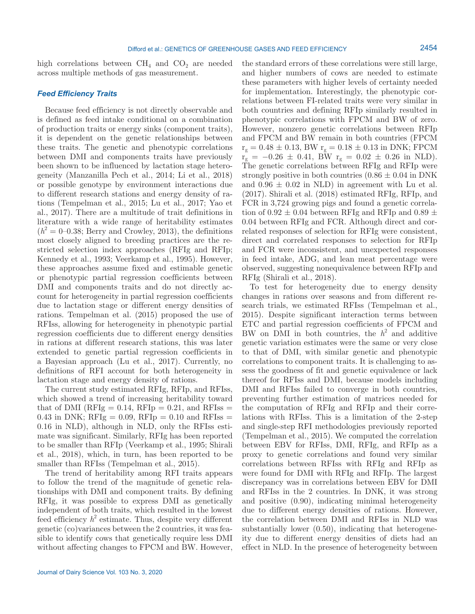Journal of Dairy Science Vol. 103 No. 3, 2020

The current study estimated RFIg, RFIp, and RFIss, which showed a trend of increasing heritability toward that of DMI ( $RFIg = 0.14$ ,  $RFIp = 0.21$ , and  $RFIss =$ 0.43 in DNK;  $RFIg = 0.09$ ,  $RFIp = 0.10$  and  $RFIss =$ 0.16 in NLD), although in NLD, only the RFIss estimate was significant. Similarly, RFIg has been reported to be smaller than RFIp (Veerkamp et al., 1995; Shirali et al., 2018), which, in turn, has been reported to be smaller than RFIss (Tempelman et al., 2015).

lactation stage and energy density of rations.

The trend of heritability among RFI traits appears to follow the trend of the magnitude of genetic relationships with DMI and component traits. By defining RFIg, it was possible to express DMI as genetically independent of both traits, which resulted in the lowest feed efficiency  $h^2$  estimate. Thus, despite very different genetic (co)variances between the 2 countries, it was feasible to identify cows that genetically require less DMI without affecting changes to FPCM and BW. However,

these parameters with higher levels of certainty needed for implementation. Interestingly, the phenotypic correlations between FI-related traits were very similar in both countries and defining RFIp similarly resulted in phenotypic correlations with FPCM and BW of zero. However, nonzero genetic correlations between RFIp and FPCM and BW remain in both countries (FPCM  $r_g = 0.48 \pm 0.13$ , BW  $r_g = 0.18 \pm 0.13$  in DNK; FPCM  $r_{\rm g} = -0.26 \pm 0.41$ , BW  $r_{\rm g} = 0.02 \pm 0.26$  in NLD). The genetic correlations between RFIg and RFIp were strongly positive in both countries  $(0.86 \pm 0.04 \text{ in DNK})$ and  $0.96 \pm 0.02$  in NLD) in agreement with Lu et al. (2017). Shirali et al. (2018) estimated RFIg, RFIp, and FCR in 3,724 growing pigs and found a genetic correlation of 0.92  $\pm$  0.04 between RFIg and RFIp and 0.89  $\pm$ 0.04 between RFIg and FCR. Although direct and correlated responses of selection for RFIg were consistent, direct and correlated responses to selection for RFIp and FCR were inconsistent, and unexpected responses in feed intake, ADG, and lean meat percentage were observed, suggesting nonequivalence between RFIp and RFIg (Shirali et al., 2018).

the standard errors of these correlations were still large, and higher numbers of cows are needed to estimate

To test for heterogeneity due to energy density changes in rations over seasons and from different research trials, we estimated RFIss (Tempelman et al., 2015). Despite significant interaction terms between ETC and partial regression coefficients of FPCM and BW on DMI in both countries, the  $h^2$  and additive genetic variation estimates were the same or very close to that of DMI, with similar genetic and phenotypic correlations to component traits. It is challenging to assess the goodness of fit and genetic equivalence or lack thereof for RFIss and DMI, because models including DMI and RFIss failed to converge in both countries, preventing further estimation of matrices needed for the computation of RFIg and RFIp and their correlations with RFIss. This is a limitation of the 2-step and single-step RFI methodologies previously reported (Tempelman et al., 2015). We computed the correlation between EBV for RFIss, DMI, RFIg, and RFIp as a proxy to genetic correlations and found very similar correlations between RFIss with RFIg and RFIp as were found for DMI with RFIg and RFIp. The largest discrepancy was in correlations between EBV for DMI and RFIss in the 2 countries. In DNK, it was strong and positive (0.90), indicating minimal heterogeneity due to different energy densities of rations. However, the correlation between DMI and RFIss in NLD was substantially lower (0.50), indicating that heterogeneity due to different energy densities of diets had an effect in NLD. In the presence of heterogeneity between

high correlations between  $CH_4$  and  $CO_2$  are needed across multiple methods of gas measurement.

Because feed efficiency is not directly observable and is defined as feed intake conditional on a combination of production traits or energy sinks (component traits), it is dependent on the genetic relationships between these traits. The genetic and phenotypic correlations between DMI and components traits have previously been shown to be influenced by lactation stage heterogeneity (Manzanilla Pech et al., 2014; Li et al., 2018) or possible genotype by environment interactions due to different research stations and energy density of rations (Tempelman et al., 2015; Lu et al., 2017; Yao et al., 2017). There are a multitude of trait definitions in literature with a wide range of heritability estimates  $(h^2 = 0-0.38;$  Berry and Crowley, 2013), the definitions most closely aligned to breeding practices are the restricted selection index approaches (RFIg and RFIp; Kennedy et al., 1993; Veerkamp et al., 1995). However, these approaches assume fixed and estimable genetic or phenotypic partial regression coefficients between DMI and components traits and do not directly account for heterogeneity in partial regression coefficients due to lactation stage or different energy densities of rations. Tempelman et al. (2015) proposed the use of RFIss, allowing for heterogeneity in phenotypic partial regression coefficients due to different energy densities in rations at different research stations, this was later extended to genetic partial regression coefficients in a Bayesian approach (Lu et al., 2017). Currently, no definitions of RFI account for both heterogeneity in

### *Feed Efficiency Traits*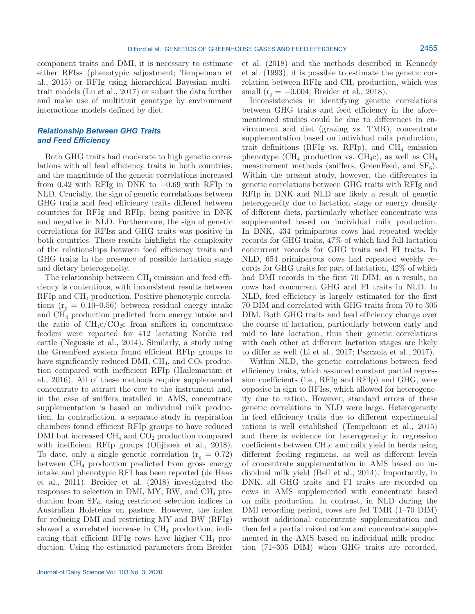component traits and DMI, it is necessary to estimate either RFIss (phenotypic adjustment; Tempelman et al., 2015) or RFIg using hierarchical Bayesian multitrait models (Lu et al., 2017) or subset the data further and make use of multitrait genotype by environment interactions models defined by diet.

# *Relationship Between GHG Traits and Feed Efficiency*

Both GHG traits had moderate to high genetic correlations with all feed efficiency traits in both countries, and the magnitude of the genetic correlations increased from 0.42 with RFIg in DNK to  $-0.69$  with RFIp in NLD. Crucially, the sign of genetic correlations between GHG traits and feed efficiency traits differed between countries for RFIg and RFIp, being positive in DNK and negative in NLD. Furthermore, the sign of genetic correlations for RFIss and GHG traits was positive in both countries. These results highlight the complexity of the relationships between feed efficiency traits and GHG traits in the presence of possible lactation stage and dietary heterogeneity.

The relationship between  $\text{CH}_4$  emission and feed efficiency is contentious, with inconsistent results between RFIp and CH4 production. Positive phenotypic correlations ( $r_p = 0.10{\text -}0.56$ ) between residual energy intake and CH4 production predicted from energy intake and the ratio of  $CH_4c/CO_2c$  from sniffers in concentrate feeders were reported for 412 lactating Nordic red cattle (Negussie et al., 2014). Similarly, a study using the GreenFeed system found efficient RFIp groups to have significantly reduced DMI,  $CH<sub>4</sub>$ , and  $CO<sub>2</sub>$  production compared with inefficient RFIp (Hailemariam et al., 2016). All of these methods require supplemented concentrate to attract the cow to the instrument and, in the case of sniffers installed in AMS, concentrate supplementation is based on individual milk production. In contradiction, a separate study in respiration chambers found efficient RFIp groups to have reduced DMI but increased  $CH<sub>4</sub>$  and  $CO<sub>2</sub>$  production compared with inefficient RFIp groups (Olijhoek et al., 2018). To date, only a single genetic correlation ( $r_g = 0.72$ ) between  $CH<sub>4</sub>$  production predicted from gross energy intake and phenotypic RFI has been reported (de Haas et al., 2011). Breider et al. (2018) investigated the responses to selection in DMI, MY, BW, and  $CH_4$  production from  $SF_6$ , using restricted selection indices in Australian Holsteins on pasture. However, the index for reducing DMI and restricting MY and BW (RFIg) showed a correlated increase in  $CH<sub>4</sub>$  production, indicating that efficient RFIg cows have higher  $CH_4$  production. Using the estimated parameters from Breider

Journal of Dairy Science Vol. 103 No. 3, 2020

et al. (2018) and the methods described in Kennedy et al. (1993), it is possible to estimate the genetic correlation between RFIg and  $CH<sub>4</sub>$  production, which was small ( $r_g = -0.004$ ; Breider et al., 2018).

Inconsistencies in identifying genetic correlations between GHG traits and feed efficiency in the aforementioned studies could be due to differences in environment and diet (grazing vs. TMR), concentrate supplementation based on individual milk production, trait definitions (RFIg vs. RFIp), and  $CH_4$  emission phenotype (CH<sub>4</sub> production vs. CH<sub>4</sub>c), as well as  $CH<sub>4</sub>$ measurement methods (sniffers, GreenFeed, and  $SF_6$ ). Within the present study, however, the differences in genetic correlations between GHG traits with RFIg and RFIp in DNK and NLD are likely a result of genetic heterogeneity due to lactation stage or energy density of different diets, particularly whether concentrate was supplemented based on individual milk production. In DNK, 434 primiparous cows had repeated weekly records for GHG traits, 47% of which had full-lactation concurrent records for GHG traits and FI traits. In NLD, 654 primiparous cows had repeated weekly records for GHG traits for part of lactation, 42% of which had DMI records in the first 70 DIM; as a result, no cows had concurrent GHG and FI traits in NLD. In NLD, feed efficiency is largely estimated for the first 70 DIM and correlated with GHG traits from 70 to 305 DIM. Both GHG traits and feed efficiency change over the course of lactation, particularly between early and mid to late lactation, thus their genetic correlations with each other at different lactation stages are likely to differ as well (Li et al., 2017; Pszczola et al., 2017).

Within NLD, the genetic correlations between feed efficiency traits, which assumed constant partial regression coefficients (i.e., RFIg and RFIp) and GHG, were opposite in sign to RFIss, which allowed for heterogeneity due to ration. However, standard errors of these genetic correlations in NLD were large. Heterogeneity in feed efficiency traits due to different experimental rations is well established (Tempelman et al., 2015) and there is evidence for heterogeneity in regression coefficients between CH4c and milk yield in herds using different feeding regimens, as well as different levels of concentrate supplementation in AMS based on individual milk yield (Bell et al., 2014). Importantly, in DNK, all GHG traits and FI traits are recorded on cows in AMS supplemented with concentrate based on milk production. In contrast, in NLD during the DMI recording period, cows are fed TMR (1–70 DIM) without additional concentrate supplementation and then fed a partial mixed ration and concentrate supplemented in the AMS based on individual milk production (71–305 DIM) when GHG traits are recorded.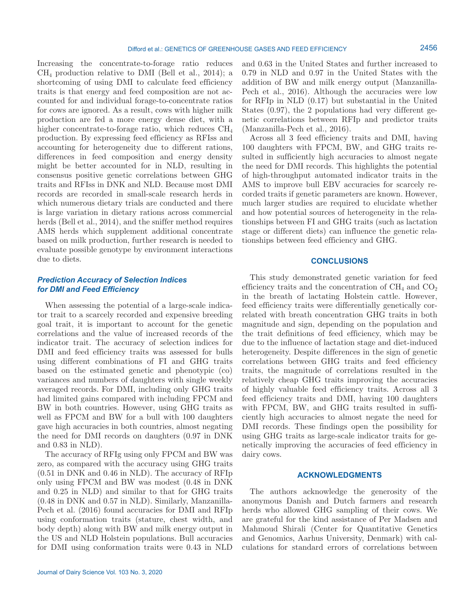Increasing the concentrate-to-forage ratio reduces  $CH<sub>4</sub>$  production relative to DMI (Bell et al., 2014); a shortcoming of using DMI to calculate feed efficiency traits is that energy and feed composition are not accounted for and individual forage-to-concentrate ratios for cows are ignored. As a result, cows with higher milk production are fed a more energy dense diet, with a higher concentrate-to-forage ratio, which reduces  $CH<sub>4</sub>$ production. By expressing feed efficiency as RFIss and accounting for heterogeneity due to different rations, differences in feed composition and energy density might be better accounted for in NLD, resulting in consensus positive genetic correlations between GHG traits and RFIss in DNK and NLD. Because most DMI records are recorded in small-scale research herds in which numerous dietary trials are conducted and there is large variation in dietary rations across commercial herds (Bell et al., 2014), and the sniffer method requires AMS herds which supplement additional concentrate based on milk production, further research is needed to evaluate possible genotype by environment interactions due to diets.

# *Prediction Accuracy of Selection Indices for DMI and Feed Efficiency*

When assessing the potential of a large-scale indicator trait to a scarcely recorded and expensive breeding goal trait, it is important to account for the genetic correlations and the value of increased records of the indicator trait. The accuracy of selection indices for DMI and feed efficiency traits was assessed for bulls using different combinations of FI and GHG traits based on the estimated genetic and phenotypic (co) variances and numbers of daughters with single weekly averaged records. For DMI, including only GHG traits had limited gains compared with including FPCM and BW in both countries. However, using GHG traits as well as FPCM and BW for a bull with 100 daughters gave high accuracies in both countries, almost negating the need for DMI records on daughters (0.97 in DNK and 0.83 in NLD).

The accuracy of RFIg using only FPCM and BW was zero, as compared with the accuracy using GHG traits (0.51 in DNK and 0.46 in NLD). The accuracy of RFIp only using FPCM and BW was modest (0.48 in DNK and 0.25 in NLD) and similar to that for GHG traits (0.48 in DNK and 0.57 in NLD). Similarly, Manzanilla-Pech et al. (2016) found accuracies for DMI and RFIp using conformation traits (stature, chest width, and body depth) along with BW and milk energy output in the US and NLD Holstein populations. Bull accuracies for DMI using conformation traits were 0.43 in NLD and 0.63 in the United States and further increased to 0.79 in NLD and 0.97 in the United States with the addition of BW and milk energy output (Manzanilla-Pech et al., 2016). Although the accuracies were low for RFIp in NLD (0.17) but substantial in the United States (0.97), the 2 populations had very different genetic correlations between RFIp and predictor traits (Manzanilla-Pech et al., 2016).

Across all 3 feed efficiency traits and DMI, having 100 daughters with FPCM, BW, and GHG traits resulted in sufficiently high accuracies to almost negate the need for DMI records. This highlights the potential of high-throughput automated indicator traits in the AMS to improve bull EBV accuracies for scarcely recorded traits if genetic parameters are known. However, much larger studies are required to elucidate whether and how potential sources of heterogeneity in the relationships between FI and GHG traits (such as lactation stage or different diets) can influence the genetic relationships between feed efficiency and GHG.

# **CONCLUSIONS**

This study demonstrated genetic variation for feed efficiency traits and the concentration of  $\text{CH}_4$  and  $\text{CO}_2$ in the breath of lactating Holstein cattle. However, feed efficiency traits were differentially genetically correlated with breath concentration GHG traits in both magnitude and sign, depending on the population and the trait definitions of feed efficiency, which may be due to the influence of lactation stage and diet-induced heterogeneity. Despite differences in the sign of genetic correlations between GHG traits and feed efficiency traits, the magnitude of correlations resulted in the relatively cheap GHG traits improving the accuracies of highly valuable feed efficiency traits. Across all 3 feed efficiency traits and DMI, having 100 daughters with FPCM, BW, and GHG traits resulted in sufficiently high accuracies to almost negate the need for DMI records. These findings open the possibility for using GHG traits as large-scale indicator traits for genetically improving the accuracies of feed efficiency in dairy cows.

## **ACKNOWLEDGMENTS**

The authors acknowledge the generosity of the anonymous Danish and Dutch farmers and research herds who allowed GHG sampling of their cows. We are grateful for the kind assistance of Per Madsen and Mahmoud Shirali (Center for Quantitative Genetics and Genomics, Aarhus University, Denmark) with calculations for standard errors of correlations between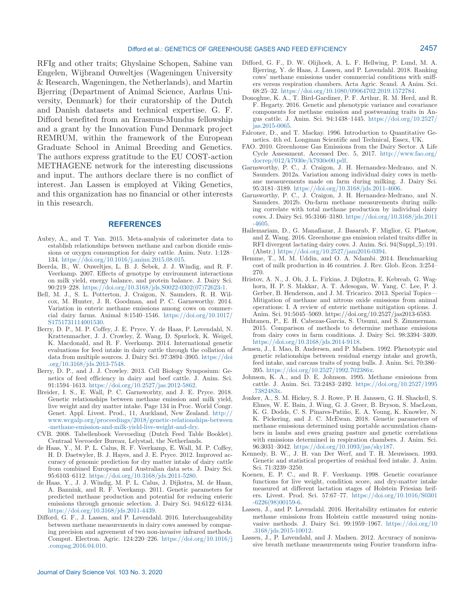RFIg and other traits; Ghyslaine Schopen, Sabine van Engelen, Wijbrand Ouweltjes (Wageningen University & Research, Wageningen, the Netherlands), and Martin Bjerring (Department of Animal Science, Aarhus University, Denmark) for their curatorship of the Dutch and Danish datasets and technical expertise. G. F. Difford benefited from an Erasmus-Mundus fellowship and a grant by the Innovation Fund Denmark project REMRUM, within the framework of the European Graduate School in Animal Breeding and Genetics. The authors express gratitude to the EU COST-action METHAGENE network for the interesting discussions and input. The authors declare there is no conflict of interest. Jan Lassen is employed at Viking Genetics, and this organization has no financial or other interests in this research.

#### **REFERENCES**

- Aubry, A., and T. Yan. 2015. Meta-analysis of calorimeter data to establish relationships between methane and carbon dioxide emissions or oxygen consumption for dairy cattle. Anim. Nutr. 1:128– 134.<https://doi.org/10.1016/j.aninu.2015.08.015>.
- Beerda, B., W. Ouweltjes, L. B. J. Šebek, J. J. Windig, and R. F. Veerkamp. 2007. Effects of genotype by environment interactions on milk yield, energy balance, and protein balance. J. Dairy Sci. 90:219–228. [https://doi.org/10.3168/jds.S0022-0302\(07\)72623-1.](https://doi.org/10.3168/jds.S0022-0302(07)72623-1)
- Bell, M. J., S. L. Potterton, J. Craigon, N. Saunders, R. H. Wilcox, M. Hunter, J. R. Goodman, and P. C. Garnsworthy. 2014. Variation in enteric methane emissions among cows on commercial dairy farms. Animal 8:1540–1546. [https://doi.org/10.1017/](https://doi.org/10.1017/S1751731114001530) [S1751731114001530.](https://doi.org/10.1017/S1751731114001530)
- Berry, D. P., M. P. Coffey, J. E. Pryce, Y. de Haas, P. Løvendahl, N. Krattenmacher, J. J. Crowley, Z. Wang, D. Spurlock, K. Weigel, K. Macdonald, and R. F. Veerkamp. 2014. International genetic evaluations for feed intake in dairy cattle through the collation of data from multiple sources. J. Dairy Sci. 97:3894–3905. [https://doi](https://doi.org/10.3168/jds.2013-7548) [.org/10.3168/jds.2013-7548](https://doi.org/10.3168/jds.2013-7548).
- Berry, D. P., and J. J. Crowley. 2013. Cell Biology Symposium: Genetics of feed efficiency in dairy and beef cattle. J. Anim. Sci. 91:1594–1613. [https://doi.org/10.2527/jas.2012-5862.](https://doi.org/10.2527/jas.2012-5862)
- Breider, I. S., E. Wall, P. C. Garnsworhty, and J. E. Pryce. 2018. Genetic relationships between methane emission and milk yield, live weight and dry matter intake. Page 134 in Proc. World Congr. Genet. Appl. Livest. Prod., 11, Auckland, New Zealand. [http://](http://www.wcgalp.org/proceedings/2018/genetic-relationships-between-methane-emission-and-milk-yield-live-weight-and-dry) [www.wcgalp.org/proceedings/2018/genetic-relationships-between](http://www.wcgalp.org/proceedings/2018/genetic-relationships-between-methane-emission-and-milk-yield-live-weight-and-dry) [-methane-emission-and-milk-yield-live-weight-and-dry](http://www.wcgalp.org/proceedings/2018/genetic-relationships-between-methane-emission-and-milk-yield-live-weight-and-dry).
- CVB. 2008. Tabellenboek Veevoeding (Dutch Feed Table Booklet). Centraal Veevoeder Bureau, Lelystad, the Netherlands.
- de Haas, Y., M. P. L. Calus, R. F. Veerkamp, E. Wall, M. P. Coffey, H. D. Daetwyler, B. J. Hayes, and J. E. Pryce. 2012. Improved accuracy of genomic prediction for dry matter intake of dairy cattle from combined European and Australian data sets. J. Dairy Sci. 95:6103–6112. <https://doi.org/10.3168/jds.2011-5280>.
- de Haas, Y., J. J. Windig, M. P. L. Calus, J. Dijkstra, M. de Haan, A. Bannink, and R. F. Veerkamp. 2011. Genetic parameters for predicted methane production and potential for reducing enteric emissions through genomic selection. J. Dairy Sci. 94:6122–6134. [https://doi.org/10.3168/jds.2011-4439.](https://doi.org/10.3168/jds.2011-4439)
- Difford, G. F., J. Lassen, and P. Løvendahl. 2016. Interchangeability between methane measurements in dairy cows assessed by comparing precision and agreement of two non-invasive infrared methods. Comput. Electron. Agric. 124:220–226. [https://doi.org/10.1016/j](https://doi.org/10.1016/j.compag.2016.04.010) [.compag.2016.04.010.](https://doi.org/10.1016/j.compag.2016.04.010)
- Difford, G. F., D. W. Olijhoek, A. L. F. Hellwing, P. Lund, M. A. Bjerring, Y. de Haas, J. Lassen, and P. Løvendahl. 2018. Ranking cows' methane emissions under commercial conditions with sniffers versus respiration chambers. Acta Agric. Scand. A Anim. Sci. 68:25–32.<https://doi.org/10.1080/09064702.2019.1572784>.
- Donoghue, K. A., T. Bird-Gardiner, P. F. Arthur, R. M. Herd, and R. F. Hegarty. 2016. Genetic and phenotypic variance and covariance components for methane emission and postweaning traits in Angus cattle. J. Anim. Sci. 94:1438–1445. [https://doi.org/10.2527/](https://doi.org/10.2527/jas.2015-0065) [jas.2015-0065.](https://doi.org/10.2527/jas.2015-0065)
- Falconer, D., and T. Mackay. 1996. Introduction to Quantitative Genetics. 4th ed. Longman Scientific and Technical, Essex, UK.
- FAO. 2010. Greenhouse Gas Emissions from the Dairy Sector. A Life Cycle Assessment. Accessed Dec. 5, 2017. [http://www.fao.org/](http://www.fao.org/docrep/012/k7930e/k7930e00.pdf) [docrep/012/k7930e/k7930e00.pdf](http://www.fao.org/docrep/012/k7930e/k7930e00.pdf).
- Garnsworthy, P. C., J. Craigon, J. H. Hernandez-Medrano, and N. Saunders. 2012a. Variation among individual dairy cows in methane measurements made on farm during milking. J. Dairy Sci. 95:3181–3189. <https://doi.org/10.3168/jds.2011-4606>.
- Garnsworthy, P. C., J. Craigon, J. H. Hernandez-Medrano, and N. Saunders. 2012b. On-farm methane measurements during milking correlate with total methane production by individual dairy cows. J. Dairy Sci. 95:3166–3180. [https://doi.org/10.3168/jds.2011](https://doi.org/10.3168/jds.2011-4605) [-4605](https://doi.org/10.3168/jds.2011-4605).
- Hailemariam, D., G. Manafiazar, J. Basarab, F. Miglior, G. Plastow, and Z. Wang. 2016. Greenhouse gas emission related traits differ in RFI divergent lactating dairy cows. J. Anim. Sci. 94(Suppl\_5):191. (Abstr.) <https://doi.org/10.2527/jam2016-0394>.
- Hemme, T., M. M. Uddin, and O. A. Ndambi. 2014. Benchmarking cost of milk production in 46 countries. J. Rev. Glob. Econ. 3:254– 270.
- Hristov, A. N., J. Oh, J. L. Firkins, J. Dijkstra, E. Kebreab, G. Waghorn, H. P. S. Makkar, A. T. Adesogan, W. Yang, C. Lee, P. J. Gerber, B. Henderson, and J. M. Tricarico. 2013. Special Topics— Mitigation of methane and nitrous oxide emissions from animal operations: I. A review of enteric methane mitigation options. J. Anim. Sci. 91:5045–5069. https://doi.org/10.2527/jas2013-6583.
- Huhtanen, P., E. H. Cabezas-Garcia, S. Utsumi, and S. Zimmerman. 2015. Comparison of methods to determine methane emissions from dairy cows in farm conditions. J. Dairy Sci. 98:3394–3409. [https://doi.org/10.3168/jds.2014-9118.](https://doi.org/10.3168/jds.2014-9118)
- Jensen, J., I. Mao, B. Andersen, and P. Madsen. 1992. Phenotypic and genetic relationships between residual energy intake and growth, feed intake, and carcass traits of young bulls. J. Anim. Sci. 70:386– 395.<https://doi.org/10.2527/1992.702386x>.
- Johnson, K. A., and D. E. Johnson. 1995. Methane emissions from cattle. J. Anim. Sci. 73:2483–2492. [https://doi.org/10.2527/1995](https://doi.org/10.2527/1995.7382483x) [.7382483x.](https://doi.org/10.2527/1995.7382483x)
- Jonker, A., S. M. Hickey, S. J. Rowe, P. H. Janssen, G. H. Shackell, S. Elmes, W. E. Bain, J. Wing, G. J. Greer, B. Bryson, S. MacLean, K. G. Dodds, C. S. Pinares-Patiño, E. A. Young, K. Knowler, N. K. Pickering, and J. C. McEwan. 2018. Genetic parameters of methane emissions determined using portable accumulation chambers in lambs and ewes grazing pasture and genetic correlations with emissions determined in respiration chambers. J. Anim. Sci. 96:3031–3042. <https://doi.org/10.1093/jas/sky187>.
- Kennedy, B. W., J. H. van Der Werf, and T. H. Meuwissen. 1993. Genetic and statistical properties of residual feed intake. J. Anim. Sci. 71:3239–3250.
- Koenen, E. P. C., and R. F. Veerkamp. 1998. Genetic covariance functions for live weight, condition score, and dry-matter intake measured at different lactation stages of Holstein Friesian heifers. Livest. Prod. Sci. 57:67–77. [https://doi.org/10.1016/S0301](https://doi.org/10.1016/S0301-6226(98)00159-6) [-6226\(98\)00159-6](https://doi.org/10.1016/S0301-6226(98)00159-6).
- Lassen, J., and P. Løvendahl. 2016. Heritability estimates for enteric methane emissions from Holstein cattle measured using noninvasive methods. J. Dairy Sci. 99:1959–1967. [https://doi.org/10](https://doi.org/10.3168/jds.2015-10012) [.3168/jds.2015-10012](https://doi.org/10.3168/jds.2015-10012).
- Lassen, J., P. Løvendahl, and J. Madsen. 2012. Accuracy of noninvasive breath methane measurements using Fourier transform infra-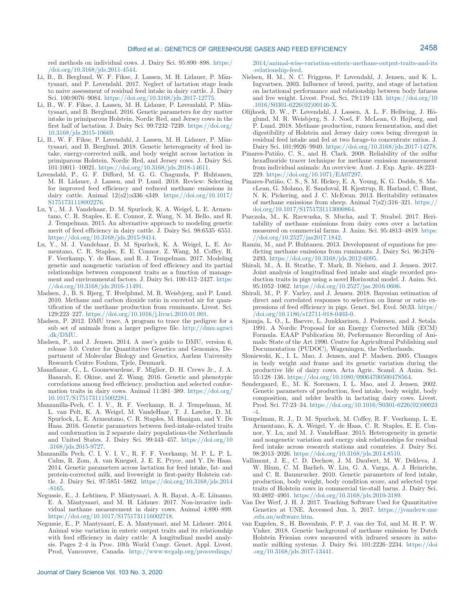red methods on individual cows. J. Dairy Sci. 95:890–898. [https:/](https://doi.org/10.3168/jds.2011-4544) [/doi.org/10.3168/jds.2011-4544.](https://doi.org/10.3168/jds.2011-4544)

- Li, B., B. Berglund, W. F. Fikse, J. Lassen, M. H. Lidauer, P. Mäntysaari, and P. Løvendahl. 2017. Neglect of lactation stage leads to naive assessment of residual feed intake in dairy cattle. J. Dairy Sci. 100:9076–9084.<https://doi.org/10.3168/jds.2017-12775>.
- Li, B., W. F. Fikse, J. Lassen, M. H. Lidauer, P. Løvendahl, P. Mäntysaari, and B. Berglund. 2016. Genetic parameters for dry matter intake in primiparous Holstein, Nordic Red, and Jersey cows in the first half of lactation. J. Dairy Sci. 99:7232–7239. [https://doi.org/](https://doi.org/10.3168/jds.2015-10669) [10.3168/jds.2015-10669.](https://doi.org/10.3168/jds.2015-10669)
- Li, B., W. F. Fikse, P. Løvendahl, J. Lassen, M. H. Lidauer, P. Mäntysaari, and B. Berglund. 2018. Genetic heterogeneity of feed intake, energy-corrected milk, and body weight across lactation in primiparous Holstein, Nordic Red, and Jersey cows. J. Dairy Sci. 101:10011–10021. [https://doi.org/10.3168/jds.2018-14611.](https://doi.org/10.3168/jds.2018-14611)
- Løvendahl, P., G. F. Difford, M. G. G. Chagunda, P. Huhtanen, M. H. Lidauer, J. Lassen, and P. Lund. 2018. Review: Selecting for improved feed efficiency and reduced methane emissions in dairy cattle. Animal 12(s2):s336–s349. [https://doi.org/10.1017/](https://doi.org/10.1017/S1751731118002276) [S1751731118002276.](https://doi.org/10.1017/S1751731118002276)
- Lu, Y., M. J. Vandehaar, D. M. Spurlock, K. A. Weigel, L. E. Armentano, C. R. Staples, E. E. Connor, Z. Wang, N. M. Bello, and R. J. Tempelman. 2015. An alternative approach to modeling genetic merit of feed efficiency in dairy cattle. J. Dairy Sci. 98:6535–6551. [https://doi.org/10.3168/jds.2015-9414.](https://doi.org/10.3168/jds.2015-9414)
- Lu, Y., M. J. Vandehaar, D. M. Spurlock, K. A. Weigel, L. E. Armentano, C. R. Staples, E. E. Connor, Z. Wang, M. Coffey, R. F. Veerkamp, Y. de Haas, and R. J. Tempelman. 2017. Modeling genetic and nongenetic variation of feed efficiency and its partial relationships between component traits as a function of management and environmental factors. J. Dairy Sci. 100:412–2427. [https:](https://doi.org/10.3168/jds.2016-11491) [//doi.org/10.3168/jds.2016-11491.](https://doi.org/10.3168/jds.2016-11491)
- Madsen, J., B. S. Bjerg, T. Hvelplund, M. R. Weisbjerg, and P. Lund. 2010. Methane and carbon dioxide ratio in excreted air for quantification of the methane production from ruminants. Livest. Sci. 129:223–227. [https://doi.org/10.1016/j.livsci.2010.01.001.](https://doi.org/10.1016/j.livsci.2010.01.001)
- Madsen, P. 2012. DMU trace, A program to trace the pedigree for a sub set of animals from a larger pedigree file. [http://dmu.agrsci](http://dmu.agrsci.dk/DMU) [.dk/DMU](http://dmu.agrsci.dk/DMU).
- Madsen, P., and J. Jensen. 2014. A user's guide to DMU, version 6, release 5.0. Center for Quantitative Genetics and Genomics, Department of Molecular Biology and Genetics, Aarhus University Research Centre Foulum, Tjele, Denmark.
- Manafiazar, G., L. Goonewardene, F. Miglior, D. H. Crews Jr., J. A. Basarab, E. Okine, and Z. Wang. 2016. Genetic and phenotypic correlations among feed efficiency, production and selected conformation traits in dairy cows. Animal 11:381–389. [https://doi.org/](https://doi.org/10.1017/S1751731115002281) [10.1017/S1751731115002281.](https://doi.org/10.1017/S1751731115002281)
- Manzanilla-Pech, C. I. V., R. F. Veerkamp, R. J. Tempelman, M. L. van Pelt, K. A. Weigel, M. VandeHaar, T. J. Lawlor, D. M. Spurlock, L. E. Armentano, C. R. Staples, M. Hanigan, and Y. De Haas. 2016. Genetic parameters between feed-intake-related traits and conformation in 2 separate dairy populations-the Netherlands and United States. J. Dairy Sci. 99:443–457. [https://doi.org/10](https://doi.org/10.3168/jds.2015-9727) [.3168/jds.2015-9727](https://doi.org/10.3168/jds.2015-9727).
- Manzanilla Pech, C. I. V. I. V., R. F. F. Veerkamp, M. P. L. P. L. Calus, R. Zom, A. van Knegsel, J. E. E. Pryce, and Y. De Haas. 2014. Genetic parameters across lactation for feed intake, fat- and protein-corrected milk, and liveweight in first-parity Holstein cattle. J. Dairy Sci. 97:5851–5862. [https://doi.org/10.3168/jds.2014](https://doi.org/10.3168/jds.2014-8165) [-8165](https://doi.org/10.3168/jds.2014-8165).
- Negussie, E., J. Lehtinen, P. Mäntysaari, A. R. Bayat, A.-E. Liinamo, E. A. Mäntysaari, and M. H. Lidauer. 2017. Non-invasive individual methane measurement in dairy cows. Animal 4:890–899. [https://doi.org/10.1017/S1751731116002718.](https://doi.org/10.1017/S1751731116002718)
- Negussie, E., P. Mantysaari, E. A. Mantysaari, and M. Lidauer. 2014. Animal wise variation in enteric output traits and its relationship with feed efficiency in dairy cattle: A longitudinal model analysis. Pages 2–4 in Proc. 10th World Congr. Genet. Appl. Livest. Prod, Vancouver, Canada. [http://www.wcgalp.org/proceedings/](http://www.wcgalp.org/proceedings/2014/animal-wise-variation-enteric-methane-output-traits-and-its-relationship-feed)

[2014/animal-wise-variation-enteric-methane-output-traits-and-its](http://www.wcgalp.org/proceedings/2014/animal-wise-variation-enteric-methane-output-traits-and-its-relationship-feed) [-relationship-feed](http://www.wcgalp.org/proceedings/2014/animal-wise-variation-enteric-methane-output-traits-and-its-relationship-feed).

- Nielsen, H. M., N. C. Friggens, P. Løvendahl, J. Jensen, and K. L. Ingvartsen. 2003. Influence of breed, parity, and stage of lactation on lactational performance and relationship between body fatness and live weight. Livest. Prod. Sci. 79:119–133. [https://doi.org/10](https://doi.org/10.1016/S0301-6226(02)00146-X) [.1016/S0301-6226\(02\)00146-X](https://doi.org/10.1016/S0301-6226(02)00146-X).
- Olijhoek, D. W., P. Løvendahl, J. Lassen, A. L. F. Hellwing, J. Höglund, M. R. Weisbjerg, S. J. Noel, F. McLean, O. Højberg, and P. Lund. 2018. Methane production, rumen fermentation, and diet digestibility of Holstein and Jersey dairy cows being divergent in residual feed intake and fed at two forage-to concentrate ratios. J. Dairy Sci. 101:9926–9940. [https://doi.org/10.3168/jds.2017-14278.](https://doi.org/10.3168/jds.2017-14278)
- Pinares-Patiño, C. S., and H. Clark. 2008. Reliability of the sulfur hexafluoride tracer technique for methane emission measurement from individual animals: An overview. Aust. J. Exp. Agric. 48:223– 229.<https://doi.org/10.1071/EA07297>.
- Pinares-Patiño, C. S., S. M. Hickey, E. A. Young, K. G. Dodds, S. MacLean, G. Molano, E. Sandoval, H. Kjestrup, R. Harland, C. Hunt, N. K. Pickering, and J. C. McEwan. 2013. Heritability estimates of methane emissions from sheep. Animal  $7(s2):316-321$ . [https://](https://doi.org/10.1017/S1751731113000864) [doi.org/10.1017/S1751731113000864.](https://doi.org/10.1017/S1751731113000864)
- Pszczola, M., K. Rzewuska, S. Mucha, and T. Strabel. 2017. Heritability of methane emissions from dairy cows over a lactation measured on commercial farms. J. Anim. Sci. 95:4813–4819. [https:](https://doi.org/10.2527/jas2017.1842) [//doi.org/10.2527/jas2017.1842](https://doi.org/10.2527/jas2017.1842).
- Ramin, M., and P. Huhtanen. 2013. Development of equations for predicting methane emissions from ruminants. J. Dairy Sci. 96:2476– 2493. <https://doi.org/10.3168/jds.2012-6095>.
- Shirali, M., A. B. Strathe, T. Mark, B. Nielsen, and J. Jensen. 2017. Joint analysis of longitudinal feed intake and single recorded production traits in pigs using a novel Horizontal model. J. Anim. Sci. 95:1052–1062. <https://doi.org/10.2527/jas.2016.0606>.
- Shirali, M., P. F. Varley, and J. Jensen. 2018. Bayesian estimation of direct and correlated responses to selection on linear or ratio expressions of feed efficiency in pigs. Genet. Sel. Evol. 50:33. [https:/](https://doi.org/10.1186/s12711-018-0403-0) [/doi.org/10.1186/s12711-018-0403-0](https://doi.org/10.1186/s12711-018-0403-0).
- Sjaunja, L. O., L. Baevre, L. Junkkarinen, J. Pedersen, and J. Setala. 1991. A Nordic Proposal for an Energy Corrected Milk (ECM) Formula. EAAP Publication 50, Performance Recording of Animals: State of the Art 1990. Centre for Agricultural Publishing and Documentation (PUDOC), Wageningen, the Netherlands.
- Sloniewski, K., I. L. Mao, J. Jensen, and P. Madsen. 2005. Changes in body weight and frame and its genetic variation during the productive life of dairy cows. Acta Agric. Scand. A Anim. Sci. 55:128–136. [https://doi.org/10.1080/09064700500478564.](https://doi.org/10.1080/09064700500478564)
- Søndergaard, E., M. K. Sorensen, I. L. Mao, and J. Jensen. 2002. Genetic parameters of production, feed intake, body weight, body composition, and udder health in lactating dairy cows. Livest. Prod. Sci. 77:23–34. [https://doi.org/10.1016/S0301-6226\(02\)00023](https://doi.org/10.1016/S0301-6226(02)00023-4)  $-4.$
- Tempelman, R. J., D. M. Spurlock, M. Coffey, R. F. Veerkamp, L. E. Armentano, K. A. Weigel, Y. de Haas, C. R. Staples, E. E. Connor, Y. Lu, and M. J. VandeHaar. 2015. Heterogeneity in genetic and nongenetic variation and energy sink relationships for residual feed intake across research stations and countries. J. Dairy Sci. 98:2013–2026. [https://doi.org/10.3168/jds.2014.8510.](https://doi.org/10.3168/jds.2014.8510)
- Vallimont, J. E., C. D. Dechow, J. M. Daubert, M. W. Dekleva, J. W. Blum, C. M. Barlieb, W. Liu, G. A. Varga, A. J. Heinrichs, and C. R. Baumrucker. 2010. Genetic parameters of feed intake, production, body weight, body condition score, and selected type traits of Holstein cows in commercial tie-stall barns. J. Dairy Sci. 93:4892–4901. <https://doi.org/10.3168/jds.2010-3189>.
- Van Der Werf, J. H. J. 2017. Teaching Software Used for Quantitative Genetics at UNE. Accessed Jun. 5, 2017. [https://jvanderw.une](https://jvanderw.une.edu.au/software.htm) [.edu.au/software.htm.](https://jvanderw.une.edu.au/software.htm)
- van Engelen, S., H. Bovenhuis, P. P. J. van der Tol, and M. H. P. W. Visker. 2018. Genetic background of methane emission by Dutch Holstein Friesian cows measured with infrared sensors in automatic milking systems. J. Dairy Sci. 101:2226–2234. [https://doi](https://doi.org/10.3168/jds.2017-13441) [.org/10.3168/jds.2017-13441.](https://doi.org/10.3168/jds.2017-13441)